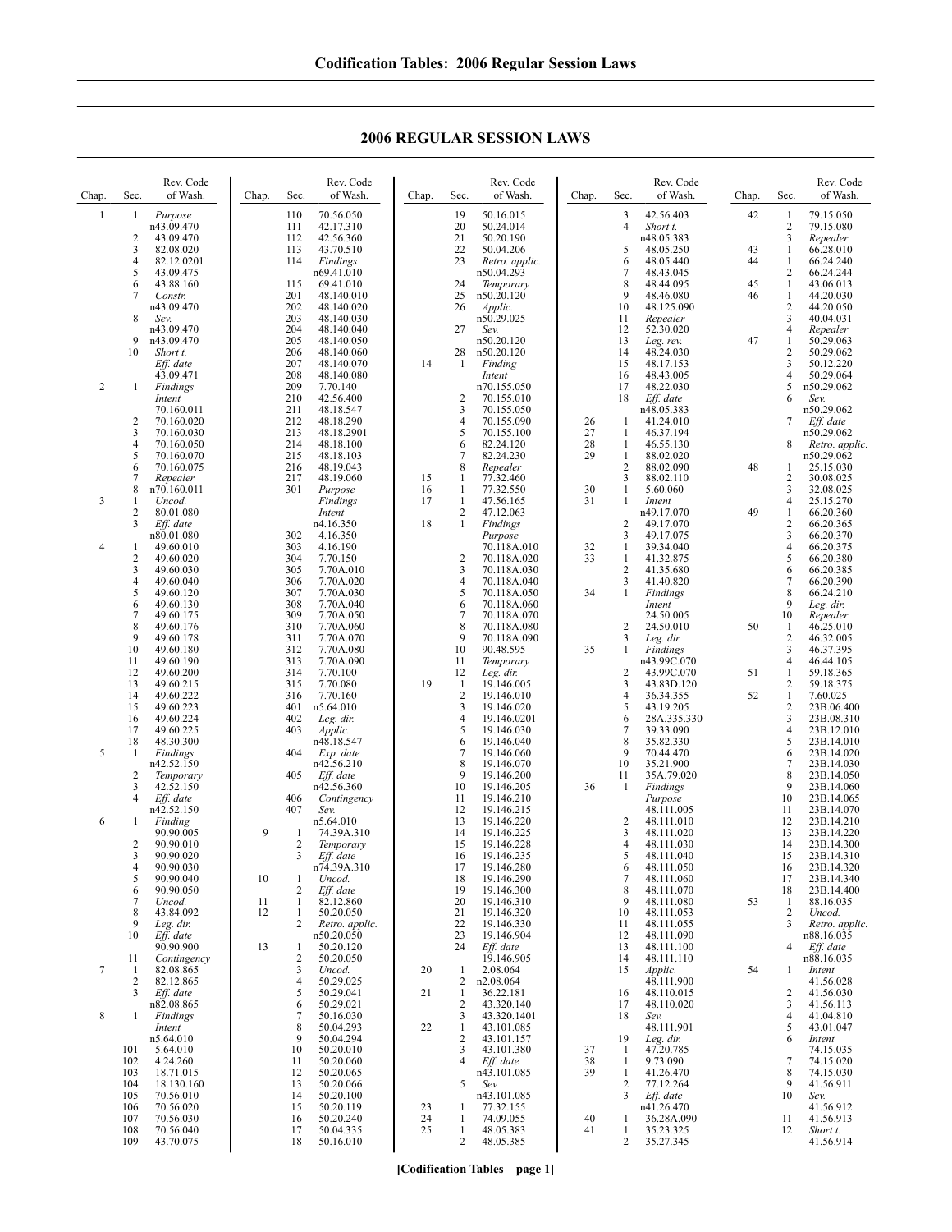| Chap. | Sec.                | Rev. Code<br>of Wash.    | Chap.    | Sec.                 | Rev. Code<br>of Wash.    | Chap. | Sec.                | Rev. Code<br>of Wash.        | Chap.    | Sec.                | Rev. Code<br>of Wash.    | Chap. | Sec.                | Rev. Code<br>of Wash.        |
|-------|---------------------|--------------------------|----------|----------------------|--------------------------|-------|---------------------|------------------------------|----------|---------------------|--------------------------|-------|---------------------|------------------------------|
| 1     | 1                   | Purpose                  |          | 110                  | 70.56.050                |       | 19                  | 50.16.015                    |          | 3                   | 42.56.403                | 42    | 1                   | 79.15.050                    |
|       | 2                   | n43.09.470<br>43.09.470  |          | 111<br>112           | 42.17.310<br>42.56.360   |       | 20<br>21            | 50.24.014<br>50.20.190       |          | 4                   | Short t.<br>n48.05.383   |       | 2<br>3              | 79.15.080<br>Repealer        |
|       | 3                   | 82.08.020                |          | 113                  | 43.70.510                |       | 22                  | 50.04.206                    |          | 5                   | 48.05.250                | 43    | 1                   | 66.28.010                    |
|       | 4<br>5              | 82.12.0201<br>43.09.475  |          | 114                  | Findings<br>n69.41.010   |       | 23                  | Retro. applic.<br>n50.04.293 |          | 6<br>7              | 48.05.440<br>48.43.045   | 44    | $\mathbf{1}$<br>2   | 66.24.240<br>66.24.244       |
|       | 6                   | 43.88.160                |          | 115                  | 69.41.010                |       | 24                  | Temporary                    |          | 8                   | 48.44.095                | 45    | $\mathbf{1}$        | 43.06.013                    |
|       | 7                   | Constr.<br>n43.09.470    |          | 201<br>202           | 48.140.010<br>48.140.020 |       | 25<br>26            | n50.20.120<br>Applic.        |          | 9<br>10             | 48.46.080<br>48.125.090  | 46    | $\mathbf{1}$<br>2   | 44.20.030<br>44.20.050       |
|       | 8                   | Sev.                     |          | 203                  | 48.140.030               |       |                     | n50.29.025                   |          | 11                  | Repealer                 |       | 3                   | 40.04.031                    |
|       | 9                   | n43.09.470<br>n43.09.470 |          | 204<br>205           | 48.140.040<br>48.140.050 |       | 27                  | Sev.<br>n50.20.120           |          | 12<br>13            | 52.30.020<br>Leg. rev.   | 47    | 4<br>1              | Repealer<br>50.29.063        |
|       | 10                  | Short t.                 |          | 206                  | 48.140.060               |       | 28                  | n50.20.120                   |          | 14                  | 48.24.030                |       | 2                   | 50.29.062                    |
|       |                     | Eff. date<br>43.09.471   |          | 207<br>208           | 48.140.070<br>48.140.080 | 14    | -1                  | Finding<br>Intent            |          | 15<br>16            | 48.17.153<br>48.43.005   |       | 3<br>4              | 50.12.220<br>50.29.064       |
| 2     | 1                   | Findings                 |          | 209                  | 7.70.140                 |       |                     | n70.155.050                  |          | 17                  | 48.22.030                |       | 5                   | n50.29.062                   |
|       |                     | Intent<br>70.160.011     |          | 210<br>211           | 42.56.400<br>48.18.547   |       | 2<br>3              | 70.155.010<br>70.155.050     |          | 18                  | Eff. date<br>n48.05.383  |       | 6                   | Sev.<br>n50.29.062           |
|       | 2                   | 70.160.020               |          | 212                  | 48.18.290                |       | 4                   | 70.155.090                   | 26       | -1                  | 41.24.010                |       | 7                   | Eff. date                    |
|       | 3<br>4              | 70.160.030<br>70.160.050 |          | 213<br>214           | 48.18.2901<br>48.18.100  |       | 5<br>6              | 70.155.100<br>82.24.120      | 27<br>28 | -1<br>-1            | 46.37.194<br>46.55.130   |       | 8                   | n50.29.062<br>Retro. applic. |
|       | 5                   | 70.160.070               |          | 215                  | 48.18.103                |       | 7                   | 82.24.230                    | 29       | $\mathbf{1}$        | 88.02.020                |       |                     | n50.29.062                   |
|       | 6<br>7              | 70.160.075<br>Repealer   |          | 216<br>217           | 48.19.043<br>48.19.060   | 15    | 8<br>1              | Repealer<br>77.32.460        |          | $\overline{c}$<br>3 | 88.02.090<br>88.02.110   | 48    | 1<br>$\overline{2}$ | 25.15.030<br>30.08.025       |
|       | 8                   | n70.160.011              |          | 301                  | Purpose                  | 16    | 1                   | 77.32.550                    | 30       | 1                   | 5.60.060                 |       | 3                   | 32.08.025                    |
| 3     | 1<br>$\overline{c}$ | Uncod.<br>80.01.080      |          |                      | Findings<br>Intent       | 17    | $\mathbf{1}$<br>2   | 47.56.165<br>47.12.063       | 31       | 1                   | Intent<br>n49.17.070     | 49    | 4<br>$\mathbf{1}$   | 25.15.270<br>66.20.360       |
|       | 3                   | Eff. date                |          |                      | n4.16.350                | 18    | $\mathbf{1}$        | Findings                     |          | $\overline{c}$      | 49.17.070                |       | 2                   | 66.20.365                    |
| 4     | 1                   | n80.01.080<br>49.60.010  |          | 302<br>303           | 4.16.350<br>4.16.190     |       |                     | Purpose<br>70.118A.010       | 32       | 3<br>1              | 49.17.075<br>39.34.040   |       | 3<br>4              | 66.20.370<br>66.20.375       |
|       | $\overline{c}$<br>3 | 49.60.020                |          | 304                  | 7.70.150                 |       | 2                   | 70.118A.020                  | 33       | -1                  | 41.32.875                |       | 5                   | 66.20.380                    |
|       | 4                   | 49.60.030<br>49.60.040   |          | 305<br>306           | 7.70A.010<br>7.70A.020   |       | 3<br>4              | 70.118A.030<br>70.118A.040   |          | $\overline{c}$<br>3 | 41.35.680<br>41.40.820   |       | 6<br>$\tau$         | 66.20.385<br>66.20.390       |
|       | 5<br>6              | 49.60.120<br>49.60.130   |          | 307<br>308           | 7.70A.030                |       | 5<br>6              | 70.118A.050                  | 34       | 1                   | Findings                 |       | 8<br>9              | 66.24.210                    |
|       | 7                   | 49.60.175                |          | 309                  | 7.70A.040<br>7.70A.050   |       | $\overline{7}$      | 70.118A.060<br>70.118A.070   |          |                     | Intent<br>24.50.005      |       | 10                  | Leg. dir.<br>Repealer        |
|       | 8<br>9              | 49.60.176                |          | 310<br>311           | 7.70A.060<br>7.70A.070   |       | 8<br>9              | 70.118A.080                  |          | 2<br>3              | 24.50.010                | 50    | -1<br>2             | 46.25.010<br>46.32.005       |
|       | 10                  | 49.60.178<br>49.60.180   |          | 312                  | 7.70A.080                |       | 10                  | 70.118A.090<br>90.48.595     | 35       | 1                   | Leg. dir.<br>Findings    |       | 3                   | 46.37.395                    |
|       | 11<br>12            | 49.60.190<br>49.60.200   |          | 313<br>314           | 7.70A.090                |       | 11<br>12            | Temporary                    |          | 2                   | n43.99C.070              | 51    | 4<br>1              | 46.44.105                    |
|       | 13                  | 49.60.215                |          | 315                  | 7.70.100<br>7.70.080     | 19    | 1                   | Leg. dir.<br>19.146.005      |          | 3                   | 43.99C.070<br>43.83D.120 |       | 2                   | 59.18.365<br>59.18.375       |
|       | 14<br>15            | 49.60.222<br>49.60.223   |          | 316<br>401           | 7.70.160<br>n5.64.010    |       | $\overline{c}$<br>3 | 19.146.010<br>19.146.020     |          | 4<br>5              | 36.34.355<br>43.19.205   | 52    | $\mathbf{1}$<br>2   | 7.60.025<br>23B.06.400       |
|       | 16                  | 49.60.224                |          | 402                  | Leg. dir.                |       | 4                   | 19.146.0201                  |          | 6                   | 28A.335.330              |       | 3                   | 23B.08.310                   |
|       | 17<br>18            | 49.60.225<br>48.30.300   |          | 403                  | Applic.<br>n48.18.547    |       | 5<br>6              | 19.146.030<br>19.146.040     |          | 7<br>8              | 39.33.090<br>35.82.330   |       | 4<br>5              | 23B.12.010<br>23B.14.010     |
| 5     | 1                   | Findings                 |          | 404                  | Exp. date                |       | 7                   | 19.146.060                   |          | 9                   | 70.44.470                |       | 6                   | 23B.14.020                   |
|       | 2                   | n42.52.150<br>Temporary  |          | 405                  | n42.56.210<br>Eff. date  |       | 8<br>9              | 19.146.070<br>19.146.200     |          | 10<br>11            | 35.21.900<br>35A.79.020  |       | 7<br>8              | 23B.14.030<br>23B.14.050     |
|       | 3                   | 42.52.150                |          |                      | n42.56.360               |       | 10                  | 19.146.205                   | 36       | -1                  | Findings                 |       | 9                   | 23B.14.060                   |
|       | 4                   | Eff. date<br>n42.52.150  |          | 406<br>407           | Contingency<br>Sev.      |       | 11<br>12            | 19.146.210<br>19.146.215     |          |                     | Purpose<br>48.111.005    |       | 10<br>11            | 23B.14.065<br>23B.14.070     |
| 6     |                     | Finding                  |          |                      | n5.64.010                |       | 13                  | 19.146.220                   |          | $\overline{c}$      | 48.111.010               |       | 12                  | 23B.14.210                   |
|       | 2                   | 90.90.005<br>90.90.010   | 9        | -1<br>$\overline{2}$ | 74.39A.310<br>Temporary  |       | 14<br>15            | 19.146.225<br>19.146.228     |          | 3<br>4              | 48.111.020<br>48.111.030 |       | 13<br>14            | 23B.14.220<br>23B.14.300     |
|       | 3                   | 90.90.020                |          | 3                    | Eff. date                |       | 16                  | 19.146.235                   |          | 5                   | 48.111.040               |       | 15                  | 23B.14.310                   |
|       | 4<br>5              | 90.90.030<br>90.90.040   | 10       | 1                    | n74.39A.310<br>Uncod.    |       | 17<br>18            | 19.146.280<br>19.146.290     |          | 6<br>7              | 48.111.050<br>48.111.060 |       | 16<br>17            | 23B.14.320<br>23B.14.340     |
|       | 6                   | 90.90.050                |          | 2                    | Eff. date                |       | 19                  | 19.146.300                   |          | 8                   | 48.111.070               |       | 18                  | 23B.14.400                   |
|       | 7<br>8              | Uncod.<br>43.84.092      | 11<br>12 | $\mathbf{1}$<br>1    | 82.12.860<br>50.20.050   |       | 20<br>21            | 19.146.310<br>19.146.320     |          | 9<br>10             | 48.111.080<br>48.111.053 | 53    | 1<br>2              | 88.16.035<br>Uncod.          |
|       | 9                   | Leg. dir.                |          | $\overline{2}$       | Retro. applic.           |       | 22                  | 19.146.330                   |          | 11                  | 48.111.055               |       | 3                   | Retro. applic.               |
|       | 10                  | Eff. date<br>90.90.900   | 13       | $\mathbf{1}$         | n50.20.050<br>50.20.120  |       | 23<br>24            | 19.146.904<br>Eff. date      |          | 12<br>13            | 48.111.090<br>48.111.100 |       | 4                   | n88.16.035<br>Eff. date      |
|       | 11                  | Contingency              |          | $\overline{2}$       | 50.20.050                |       |                     | 19.146.905                   |          | 14                  | 48.111.110               |       |                     | n88.16.035                   |
| 7     | 1<br>2              | 82.08.865<br>82.12.865   |          | 3<br>4               | Uncod.<br>50.29.025      | 20    | 1<br>2              | 2.08.064<br>n2.08.064        |          | 15                  | Applic.<br>48.111.900    | 54    | 1                   | Intent<br>41.56.028          |
|       | 3                   | Eff. date                |          | 5                    | 50.29.041                | 21    | 1                   | 36.22.181                    |          | 16                  | 48.110.015               |       | 2                   | 41.56.030                    |
| 8     | 1                   | n82.08.865<br>Findings   |          | 6<br>7               | 50.29.021<br>50.16.030   |       | 2<br>3              | 43.320.140<br>43.320.1401    |          | 17<br>18            | 48.110.020<br>Sev.       |       | 3<br>4              | 41.56.113<br>41.04.810       |
|       |                     | Intent<br>n5.64.010      |          | 8<br>9               | 50.04.293<br>50.04.294   | 22    | $\mathbf{1}$<br>2   | 43.101.085<br>43.101.157     |          |                     | 48.111.901               |       | 5<br>6              | 43.01.047                    |
|       | 101                 | 5.64.010                 |          | 10                   | 50.20.010                |       | 3                   | 43.101.380                   | 37       | 19<br>-1            | Leg. dir.<br>47.20.785   |       |                     | Intent<br>74.15.035          |
|       | 102<br>103          | 4.24.260<br>18.71.015    |          | 11<br>12             | 50.20.060<br>50.20.065   |       | 4                   | Eff. date                    | 38<br>39 | -1                  | 9.73.090<br>41.26.470    |       | 7<br>8              | 74.15.020<br>74.15.030       |
|       | 104                 | 18.130.160               |          | 13                   | 50.20.066                |       | 5                   | n43.101.085<br>Sev.          |          | $\mathbf{1}$<br>2   | 77.12.264                |       | 9                   | 41.56.911                    |
|       | 105<br>106          | 70.56.010<br>70.56.020   |          | 14<br>15             | 50.20.100<br>50.20.119   | 23    | 1                   | n43.101.085<br>77.32.155     |          | 3                   | Eff. date<br>n41.26.470  |       | 10                  | Sev.<br>41.56.912            |
|       | 107                 | 70.56.030                |          | 16                   | 50.20.240                | 24    | 1                   | 74.09.055                    | 40       | 1                   | 36.28A.090               |       | 11                  | 41.56.913                    |
|       | 108<br>109          | 70.56.040<br>43.70.075   |          | 17<br>18             | 50.04.335<br>50.16.010   | 25    | $\mathbf{1}$<br>2   | 48.05.383<br>48.05.385       | 41       | 1<br>2              | 35.23.325<br>35.27.345   |       | 12                  | Short t.<br>41.56.914        |
|       |                     |                          |          |                      |                          |       |                     |                              |          |                     |                          |       |                     |                              |

## **2006 REGULAR SESSION LAWS**

**[Codification Tables—page 1]**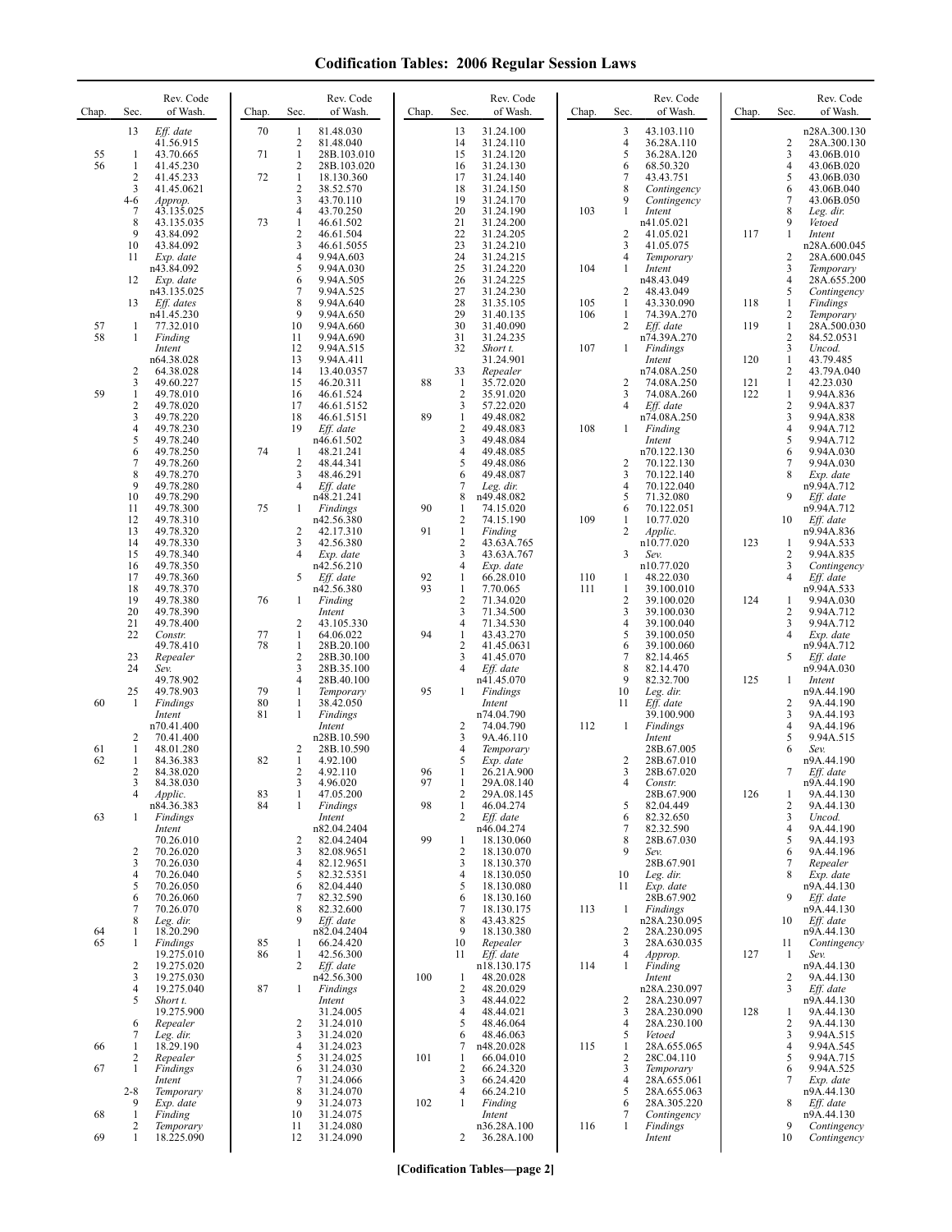| Chap.    | Sec.                         | Rev. Code<br>of Wash.    | Chap.    | Sec.                                  | Rev. Code<br>of Wash.     | Chap.    | Sec.                                    | Rev. Code<br>of Wash.    | Chap. | Sec.                | Rev. Code<br>of Wash.         | Chap. | Sec.                | Rev. Code<br>of Wash.       |
|----------|------------------------------|--------------------------|----------|---------------------------------------|---------------------------|----------|-----------------------------------------|--------------------------|-------|---------------------|-------------------------------|-------|---------------------|-----------------------------|
|          | 13                           | Eff. date<br>41.56.915   | 70       | 1<br>2                                | 81.48.030<br>81.48.040    |          | 13<br>14                                | 31.24.100<br>31.24.110   |       | 3<br>$\overline{4}$ | 43.103.110<br>36.28A.110      |       | 2                   | n28A.300.130<br>28A.300.130 |
| 55       | -1                           | 43.70.665                | 71       | $\mathbf{1}$                          | 28B.103.010               |          | 15                                      | 31.24.120                |       | 5                   | 36.28A.120                    |       | 3                   | 43.06B.010                  |
| 56       | 1<br>2                       | 41.45.230<br>41.45.233   | 72       | 2<br>$\mathbf{1}$                     | 28B.103.020<br>18.130.360 |          | 16<br>17                                | 31.24.130<br>31.24.140   |       | 6<br>7              | 68.50.320<br>43.43.751        |       | 4<br>5              | 43.06B.020<br>43.06B.030    |
|          | 3<br>4-6                     | 41.45.0621               |          | $\sqrt{2}$<br>$\overline{\mathbf{3}}$ | 38.52.570<br>43.70.110    |          | 18<br>19                                | 31.24.150<br>31.24.170   |       | 8<br>9              | Contingency<br>Contingency    |       | 6<br>7              | 43.06B.040<br>43.06B.050    |
|          | 7                            | Approp.<br>43.135.025    |          | 4                                     | 43.70.250                 |          | 20                                      | 31.24.190                | 103   | 1                   | Intent                        |       | 8                   | Leg. dir.                   |
|          | 8<br>9                       | 43.135.035<br>43.84.092  | 73       | 1<br>$\overline{2}$                   | 46.61.502<br>46.61.504    |          | 21<br>22                                | 31.24.200<br>31.24.205   |       | $\overline{2}$      | n41.05.021<br>41.05.021       | 117   | 9<br>$\mathbf{1}$   | Vetoed<br>Intent            |
|          | 10                           | 43.84.092                |          | 3                                     | 46.61.5055                |          | 23                                      | 31.24.210                |       | 3                   | 41.05.075                     |       |                     | n28A.600.045                |
|          | 11                           | Exp. date<br>n43.84.092  |          | $\overline{4}$<br>5                   | 9.94A.603<br>9.94A.030    |          | 24<br>25                                | 31.24.215<br>31.24.220   | 104   | $\overline{4}$<br>1 | Temporary<br>Intent           |       | 2<br>3              | 28A.600.045<br>Temporary    |
|          | 12                           | Exp. date<br>n43.135.025 |          | 6<br>7                                | 9.94A.505<br>9.94A.525    |          | 26<br>27                                | 31.24.225<br>31.24.230   |       | 2                   | n48.43.049<br>48.43.049       |       | 4<br>5              | 28A.655.200<br>Contingency  |
|          | 13                           | Eff. dates               |          | 8                                     | 9.94A.640                 |          | 28                                      | 31.35.105                | 105   | $\mathbf{1}$        | 43.330.090                    | 118   | $\mathbf{1}$        | Findings                    |
| 57       | 1                            | n41.45.230<br>77.32.010  |          | 9<br>10                               | 9.94A.650<br>9.94A.660    |          | 29<br>30                                | 31.40.135<br>31.40.090   | 106   | 1<br>$\overline{c}$ | 74.39A.270<br>Eff. date       | 119   | 2<br>$\mathbf{1}$   | Temporary<br>28A.500.030    |
| 58       | 1                            | Finding<br>Intent        |          | 11<br>12                              | 9.94A.690<br>9.94A.515    |          | 31<br>32                                | 31.24.235<br>Short t.    | 107   | $\mathbf{1}$        | n74.39A.270<br>Findings       |       | 2<br>3              | 84.52.0531<br>Uncod.        |
|          |                              | n64.38.028               |          | 13                                    | 9.94A.411                 |          |                                         | 31.24.901                |       |                     | Intent                        | 120   | $\mathbf{1}$        | 43.79.485                   |
|          | 2<br>3                       | 64.38.028<br>49.60.227   |          | 14<br>15                              | 13.40.0357<br>46.20.311   | 88       | 33<br>-1                                | Repealer<br>35.72.020    |       | $\overline{2}$      | n74.08A.250<br>74.08A.250     | 121   | 2<br>1              | 43.79A.040<br>42.23.030     |
| 59       | 1<br>2                       | 49.78.010<br>49.78.020   |          | 16<br>17                              | 46.61.524<br>46.61.5152   |          | $\overline{c}$<br>3                     | 35.91.020<br>57.22.020   |       | 3<br>$\overline{4}$ | 74.08A.260<br>Eff. date       | 122   | 1<br>$\overline{c}$ | 9.94A.836<br>9.94A.837      |
|          | 3                            | 49.78.220                |          | 18                                    | 46.61.5151                | 89       | $\mathbf{1}$                            | 49.48.082                |       |                     | n74.08A.250                   |       | 3                   | 9.94A.838                   |
|          | 4<br>5                       | 49.78.230<br>49.78.240   |          | 19                                    | Eff. date<br>n46.61.502   |          | $\overline{2}$<br>3                     | 49.48.083<br>49.48.084   | 108   | -1                  | Finding<br>Intent             |       | 4<br>5              | 9.94A.712<br>9.94A.712      |
|          | 6<br>$\overline{7}$          | 49.78.250                | 74       | 1<br>$\overline{2}$                   | 48.21.241<br>48.44.341    |          | 4<br>5                                  | 49.48.085                |       | $\overline{2}$      | n70.122.130                   |       | 6<br>7              | 9.94A.030                   |
|          | 8                            | 49.78.260<br>49.78.270   |          | 3                                     | 48.46.291                 |          | 6                                       | 49.48.086<br>49.48.087   |       | 3                   | 70.122.130<br>70.122.140      |       | 8                   | 9.94A.030<br>Exp. date      |
|          | 9<br>10                      | 49.78.280<br>49.78.290   |          | $\overline{4}$                        | Eff. date<br>n48.21.241   |          | 7<br>8                                  | Leg. dir.<br>n49.48.082  |       | $\overline{4}$<br>5 | 70.122.040<br>71.32.080       |       | 9                   | n9.94A.712<br>Eff. date     |
|          | 11                           | 49.78.300                | 75       | 1                                     | Findings                  | 90       | 1                                       | 74.15.020                |       | 6                   | 70.122.051                    |       |                     | n9.94A.712                  |
|          | 12<br>13                     | 49.78.310<br>49.78.320   |          | 2                                     | n42.56.380<br>42.17.310   | 91       | $\overline{\mathbf{c}}$<br>$\mathbf{1}$ | 74.15.190<br>Finding     | 109   | 1<br>$\overline{2}$ | 10.77.020<br>Applic.          |       | 10                  | Eff. date<br>n9.94A.836     |
|          | 14<br>15                     | 49.78.330<br>49.78.340   |          | 3<br>4                                | 42.56.380<br>Exp. date    |          | $\overline{c}$<br>3                     | 43.63A.765<br>43.63A.767 |       | 3                   | n10.77.020<br>Sev.            | 123   | 1<br>2              | 9.94A.533<br>9.94A.835      |
|          | 16                           | 49.78.350                |          | 5                                     | n42.56.210                | 92       | 4                                       | Exp. date                | 110   |                     | n10.77.020                    |       | 3<br>4              | Contingency                 |
|          | 17<br>18                     | 49.78.360<br>49.78.370   |          |                                       | Eff. date<br>n42.56.380   | 93       | 1<br>$\mathbf{1}$                       | 66.28.010<br>7.70.065    | 111   | 1<br>1              | 48.22.030<br>39.100.010       |       |                     | Eff. date<br>n9.94A.533     |
|          | 19<br>20                     | 49.78.380<br>49.78.390   | 76       | $\mathbf{1}$                          | Finding<br>Intent         |          | 2<br>3                                  | 71.34.020<br>71.34.500   |       | $\overline{2}$<br>3 | 39.100.020<br>39.100.030      | 124   | 1<br>2              | 9.94A.030<br>9.94A.712      |
|          | 21<br>22                     | 49.78.400<br>Constr.     | 77       | 2<br>1                                | 43.105.330<br>64.06.022   | 94       | 4<br>$\mathbf{1}$                       | 71.34.530<br>43.43.270   |       | $\overline{4}$<br>5 | 39.100.040<br>39.100.050      |       | 3<br>4              | 9.94A.712<br>Exp. date      |
|          |                              | 49.78.410                | 78       | 1                                     | 28B.20.100                |          | 2                                       | 41.45.0631               |       | 6                   | 39.100.060                    |       |                     | n9.94A.712                  |
|          | 23<br>24                     | Repealer<br>Sev.         |          | $\sqrt{2}$<br>3                       | 28B.30.100<br>28B.35.100  |          | 3<br>4                                  | 41.45.070<br>Eff. date   |       | 7<br>8              | 82.14.465<br>82.14.470        |       | 5                   | Eff. date<br>n9.94A.030     |
|          | 25                           | 49.78.902<br>49.78.903   | 79       | $\overline{4}$<br>1                   | 28B.40.100<br>Temporary   | 95       | 1                                       | n41.45.070<br>Findings   |       | 9<br>10             | 82.32.700<br>Leg. dir.        | 125   | 1                   | Intent<br>n9A.44.190        |
| 60       | 1                            | Findings                 | 80       | $\mathbf{1}$                          | 38.42.050                 |          |                                         | Intent                   |       | 11                  | Eff. date                     |       | 2                   | 9A.44.190                   |
|          |                              | Intent<br>n70.41.400     | 81       | $\mathbf{1}$                          | Findings<br>Intent        |          | 2                                       | n74.04.790<br>74.04.790  | 112   | -1                  | 39.100.900<br><b>Findings</b> |       | 3<br>4              | 9A.44.193<br>9A.44.196      |
| 61       | 2<br>1                       | 70.41.400<br>48.01.280   |          | 2                                     | n28B.10.590<br>28B.10.590 |          | 3<br>4                                  | 9A.46.110<br>Temporary   |       |                     | Intent<br>28B.67.005          |       | 5<br>6              | 9.94A.515<br>Sev.           |
| 62       | 1                            | 84.36.383                | 82       | $\mathbf{1}$                          | 4.92.100                  |          | 5                                       | Exp. date                |       | $\overline{2}$      | 28B.67.010                    |       |                     | n9A.44.190                  |
|          | 2<br>3                       | 84.38.020<br>84.38.030   |          | 2<br>3                                | 4.92.110<br>4.96.020      | 96<br>97 | 1                                       | 26.21A.900<br>29A.08.140 |       | 3<br>4              | 28B.67.020<br>Constr.         |       | 7                   | Eff. date<br>n9A.44.190     |
|          | 4                            | Applic.<br>n84.36.383    | 83<br>84 | $\mathbf{1}$<br>1                     | 47.05.200<br>Findings     | 98       | 2<br>$\mathbf{1}$                       | 29A.08.145<br>46.04.274  |       | 5                   | 28B.67.900<br>82.04.449       | 126   | 1<br>2              | 9A.44.130<br>9A.44.130      |
| 63       | 1                            | Findings                 |          |                                       | Intent                    |          | 2                                       | Eff. date                |       | 6                   | 82.32.650                     |       | 3                   | Uncod.                      |
|          |                              | Intent<br>70.26.010      |          | 2                                     | n82.04.2404<br>82.04.2404 | 99       | 1                                       | n46.04.274<br>18.130.060 |       | 7<br>8              | 82.32.590<br>28B.67.030       |       | 4<br>5              | 9A.44.190<br>9A.44.193      |
|          | 2<br>3                       | 70.26.020<br>70.26.030   |          | 3<br>4                                | 82.08.9651<br>82.12.9651  |          | 2<br>3                                  | 18.130.070<br>18.130.370 |       | 9                   | Sev.<br>28B.67.901            |       | 6<br>7              | 9A.44.196<br>Repealer       |
|          | 4                            | 70.26.040<br>70.26.050   |          | 5                                     | 82.32.5351                |          | 4                                       | 18.130.050<br>18.130.080 |       | 10                  | Leg. dir.                     |       | 8                   | Exp. date                   |
|          | 5<br>6                       | 70.26.060                |          | 6<br>7                                | 82.04.440<br>82.32.590    |          | 5<br>6                                  | 18.130.160               |       | 11                  | Exp. date<br>28B.67.902       |       | 9                   | n9A.44.130<br>Eff. date     |
|          | 7<br>8                       | 70.26.070<br>Leg. dir.   |          | 8<br>9                                | 82.32.600<br>Eff. date    |          | 7<br>8                                  | 18.130.175<br>43.43.825  | 113   | 1                   | Findings<br>n28A.230.095      |       | 10                  | n9A.44.130<br>Eff. date     |
| 64<br>65 | 1<br>1                       | 18.20.290                | 85       |                                       | n82.04.2404<br>66.24.420  |          | 9<br>10                                 | 18.130.380               |       | $\overline{2}$<br>3 | 28A.230.095<br>28A.630.035    |       | 11                  | n9A.44.130                  |
|          |                              | Findings<br>19.275.010   | 86       | 1<br>$\mathbf{1}$                     | 42.56.300                 |          | 11                                      | Repealer<br>Eff. date    |       | $\overline{4}$      | Approp.                       | 127   | 1                   | Contingency<br>Sev.         |
|          | $\overline{\mathbf{c}}$<br>3 | 19.275.020<br>19.275.030 |          | 2                                     | Eff. date<br>n42.56.300   | 100      | $\mathbf{1}$                            | n18.130.175<br>48.20.028 | 114   | 1                   | Finding<br>Intent             |       | 2                   | n9A.44.130<br>9A.44.130     |
|          | 4<br>5                       | 19.275.040               | 87       | 1                                     | Findings                  |          | 2<br>3                                  | 48.20.029<br>48.44.022   |       |                     | n28A.230.097                  |       | 3                   | Eff. date                   |
|          |                              | Short t.<br>19.275.900   |          |                                       | Intent<br>31.24.005       |          | 4                                       | 48.44.021                |       | 2<br>3              | 28A.230.097<br>28A.230.090    | 128   | 1                   | n9A.44.130<br>9A.44.130     |
|          | 6<br>7                       | Repealer<br>Leg. dir.    |          | 2<br>3                                | 31.24.010<br>31.24.020    |          | 5<br>6                                  | 48.46.064<br>48.46.063   |       | $\overline{4}$<br>5 | 28A.230.100<br>Vetoed         |       | 2<br>3              | 9A.44.130<br>9.94A.515      |
| 66       | 1<br>2                       | 18.29.190<br>Repealer    |          | $\overline{4}$<br>5                   | 31.24.023<br>31.24.025    | 101      | 7<br>1                                  | n48.20.028<br>66.04.010  | 115   | 1<br>$\overline{2}$ | 28A.655.065<br>28C.04.110     |       | 4<br>5              | 9.94A.545<br>9.94A.715      |
| 67       | 1                            | Findings                 |          | 6                                     | 31.24.030                 |          | 2                                       | 66.24.320                |       | 3                   | Temporary                     |       | 6                   | 9.94A.525                   |
|          | $2 - 8$                      | Intent<br>Temporary      |          | 7<br>8                                | 31.24.066<br>31.24.070    |          | 3<br>4                                  | 66.24.420<br>66.24.210   |       | 4<br>5              | 28A.655.061<br>28A.655.063    |       | 7                   | Exp. date<br>n9A.44.130     |
| 68       | 9<br>1                       | Exp. date<br>Finding     |          | 9<br>10                               | 31.24.073<br>31.24.075    | 102      | $\mathbf{1}$                            | Finding<br>Intent        |       | 6<br>7              | 28A.305.220<br>Contingency    |       | 8                   | Eff. date<br>n9A.44.130     |
|          | 2                            | Temporary                |          | 11                                    | 31.24.080                 |          |                                         | n36.28A.100              | 116   | 1                   | Findings                      |       | 9                   | Contingency                 |
| 69       | 1                            | 18.225.090               |          | 12                                    | 31.24.090                 |          | 2                                       | 36.28A.100               |       |                     | Intent                        |       | 10                  | Contingency                 |

**[Codification Tables—page 2]**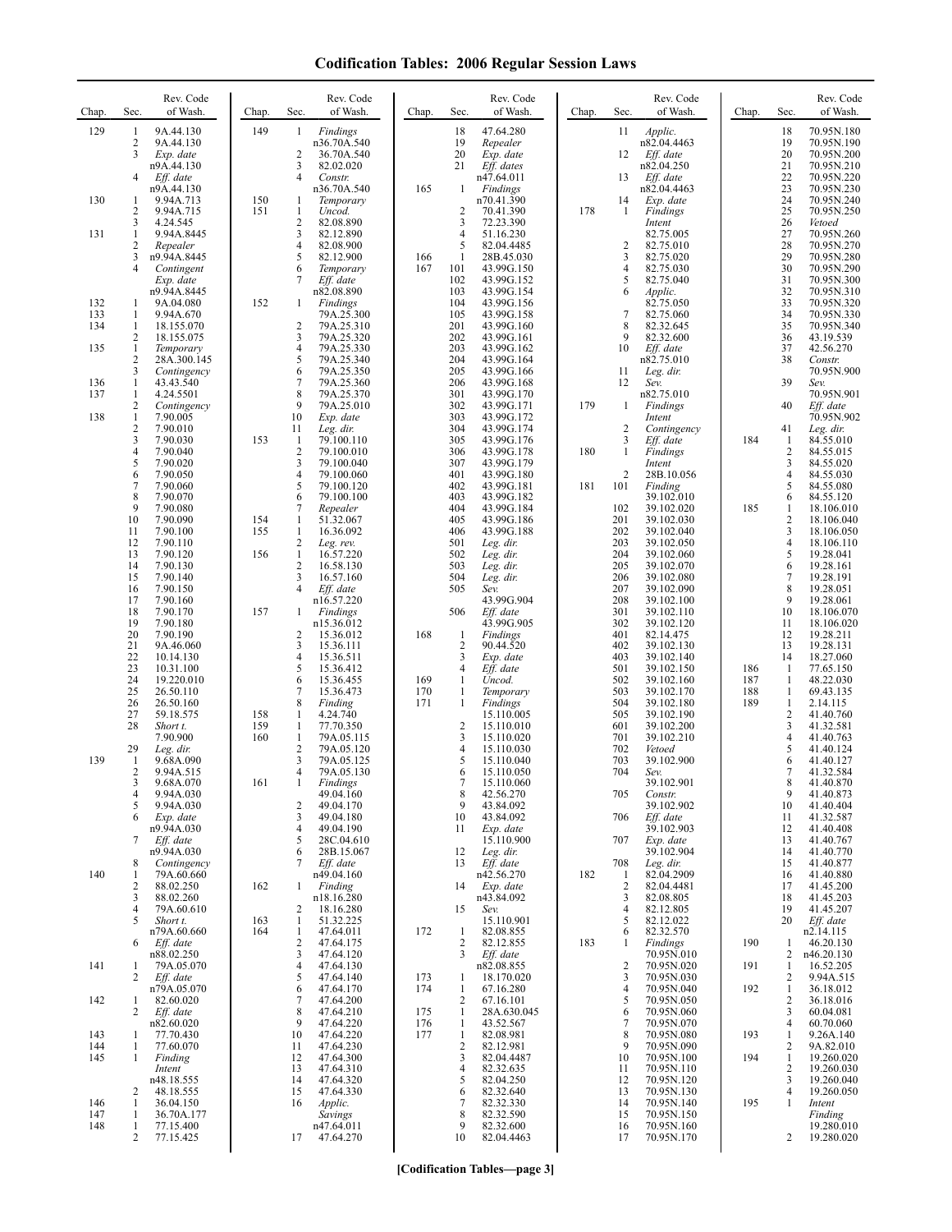| Chap.             | Rev. Code<br>of Wash.<br>Sec.                                                                            | Chap.      | Rev. Code<br>of Wash.<br>Sec.                                                                              | Chap.             | Rev. Code<br>Sec.<br>of Wash.                                                                | Rev. Code<br>of Wash.<br>Chap.<br>Sec.                                                                                                 | Chap.             | Rev. Code<br>of Wash.<br>Sec.                                                                    |
|-------------------|----------------------------------------------------------------------------------------------------------|------------|------------------------------------------------------------------------------------------------------------|-------------------|----------------------------------------------------------------------------------------------|----------------------------------------------------------------------------------------------------------------------------------------|-------------------|--------------------------------------------------------------------------------------------------|
| 129               | 9A.44.130<br>1<br>2<br>9A.44.130<br>3<br>Exp. date<br>n9A.44.130<br>$\overline{4}$<br>Eff. date          | 149        | Findings<br>1<br>n36.70A.540<br>2<br>36.70A.540<br>3<br>82.02.020<br>4<br>Constr.                          |                   | 18<br>47.64.280<br>19<br>Repealer<br>20<br>Exp. date<br>Eff. dates<br>21<br>n47.64.011       | 11<br>Applic.<br>n82.04.4463<br>12<br>Eff. date<br>n82.04.250<br>13<br>Eff. date                                                       |                   | 18<br>70.95N.180<br>19<br>70.95N.190<br>20<br>70.95N.200<br>21<br>70.95N.210<br>22<br>70.95N.220 |
| 130               | n9A.44.130<br>9.94A.713<br>1<br>$\overline{2}$<br>9.94A.715<br>3<br>4.24.545                             | 150<br>151 | n36.70A.540<br>1<br>Temporary<br>1<br>Uncod.<br>$\mathfrak{2}$<br>82.08.890                                | 165               | Findings<br>$\mathbf{1}$<br>n70.41.390<br>2<br>70.41.390<br>72.23.390<br>3                   | n82.04.4463<br>14<br>Exp. date<br>178<br>1<br>Findings<br>Intent                                                                       |                   | 23<br>70.95N.230<br>24<br>70.95N.240<br>25<br>70.95N.250<br>26<br>Vetoed                         |
| 131               | 1<br>9.94A.8445<br>$\overline{c}$<br>Repealer<br>3<br>n9.94A.8445<br>4<br>Contingent                     |            | 3<br>82.12.890<br>$\overline{4}$<br>82.08.900<br>5<br>82.12.900<br>6<br>Temporary                          | 166<br>167        | 4<br>51.16.230<br>5<br>82.04.4485<br>28B.45.030<br>1<br>101<br>43.99G.150                    | 82.75.005<br>2<br>82.75.010<br>3<br>82.75.020<br>$\overline{4}$<br>82.75.030                                                           |                   | 27<br>70.95N.260<br>28<br>70.95N.270<br>29<br>70.95N.280<br>30<br>70.95N.290                     |
| 132<br>133        | Exp. date<br>n9.94A.8445<br>9A.04.080<br>1<br>9.94A.670<br>1                                             | 152        | Eff. date<br>7<br>n82.08.890<br>Findings<br>$\mathbf{1}$<br>79A.25.300                                     |                   | 102<br>43.99G.152<br>103<br>43.99G.154<br>104<br>43.99G.156<br>105<br>43.99G.158             | 5<br>82.75.040<br>6<br>Applic.<br>82.75.050<br>$\overline{7}$<br>82.75.060                                                             |                   | 31<br>70.95N.300<br>32<br>70.95N.310<br>33<br>70.95N.320<br>34<br>70.95N.330                     |
| 134<br>135        | 1<br>18.155.070<br>2<br>18.155.075<br>1<br>Temporary<br>$\overline{c}$<br>28A.300.145                    |            | 2<br>79A.25.310<br>3<br>79A.25.320<br>4<br>79A.25.330<br>5<br>79A.25.340                                   |                   | 201<br>43.99G.160<br>202<br>43.99G.161<br>203<br>43.99G.162<br>204<br>43.99G.164             | 8<br>82.32.645<br>9<br>82.32.600<br>10<br>Eff. date<br>n82.75.010                                                                      |                   | 35<br>70.95N.340<br>36<br>43.19.539<br>37<br>42.56.270<br>38<br>Constr.                          |
| 136<br>137        | 3<br>Contingency<br>$\mathbf{1}$<br>43.43.540<br>1<br>4.24.5501                                          |            | 79A.25.350<br>6<br>7<br>79A.25.360<br>8<br>79A.25.370<br>9                                                 |                   | 205<br>43.99G.166<br>206<br>43.99G.168<br>301<br>43.99G.170                                  | 11<br>Leg. dir.<br>12<br>Sev.<br>n82.75.010                                                                                            |                   | 70.95N.900<br>39<br>Sev.<br>70.95N.901                                                           |
| 138               | $\overline{2}$<br>Contingency<br>$\mathbf{1}$<br>7.90.005<br>$\sqrt{2}$<br>7.90.010<br>3<br>7.90.030     | 153        | 79A.25.010<br>10<br>Exp. date<br>11<br>Leg. dir.<br>79.100.110<br>-1                                       |                   | 302<br>43.99G.171<br>303<br>43.99G.172<br>304<br>43.99G.174<br>305<br>43.99G.176             | 179<br>$\mathbf{1}$<br><b>Findings</b><br>Intent<br>$\sqrt{2}$<br>Contingency<br>3<br>Eff. date                                        | 184               | 40<br>Eff. date<br>70.95N.902<br>41<br>Leg. dir.<br>1<br>84.55.010                               |
|                   | $\overline{4}$<br>7.90.040<br>5<br>7.90.020<br>6<br>7.90.050<br>7<br>7.90.060                            |            | $\overline{2}$<br>79.100.010<br>3<br>79.100.040<br>4<br>79.100.060<br>5<br>79.100.120                      |                   | 306<br>43.99G.178<br>307<br>43.99G.179<br>401<br>43.99G.180<br>402<br>43.99G.181             | 180<br>$\mathbf{1}$<br>Findings<br>Intent<br>$\overline{c}$<br>28B.10.056<br>181<br>101<br>Finding                                     |                   | $\overline{c}$<br>84.55.015<br>3<br>84.55.020<br>4<br>84.55.030<br>5<br>84.55.080                |
|                   | 8<br>7.90.070<br>9<br>7.90.080<br>10<br>7.90.090<br>11<br>7.90.100                                       | 154<br>155 | 6<br>79.100.100<br>7<br>Repealer<br>51.32.067<br>$\mathbf{1}$<br>$\mathbf{1}$<br>16.36.092                 |                   | 403<br>43.99G.182<br>404<br>43.99G.184<br>405<br>43.99G.186<br>406<br>43.99G.188             | 39.102.010<br>102<br>39.102.020<br>201<br>39.102.030<br>202<br>39.102.040                                                              | 185               | 6<br>84.55.120<br>1<br>18.106.010<br>2<br>18.106.040<br>3<br>18.106.050                          |
|                   | 12<br>7.90.110<br>13<br>7.90.120<br>14<br>7.90.130<br>15<br>7.90.140                                     | 156        | 2<br>Leg. rev.<br>$\mathbf{1}$<br>16.57.220<br>$\overline{c}$<br>16.58.130<br>3<br>16.57.160               |                   | 501<br>Leg. dir.<br>502<br>Leg. dir.<br>503<br>Leg. dir.<br>504<br>Leg. dir.                 | 203<br>39.102.050<br>204<br>39.102.060<br>205<br>39.102.070<br>206<br>39.102.080                                                       |                   | $\overline{\mathbf{4}}$<br>18.106.110<br>5<br>19.28.041<br>6<br>19.28.161<br>$\tau$<br>19.28.191 |
|                   | 16<br>7.90.150<br>17<br>7.90.160<br>18<br>7.90.170<br>19<br>7.90.180                                     | 157        | $\overline{4}$<br>Eff. date<br>n16.57.220<br>1<br><b>Findings</b><br>n15.36.012                            |                   | 505<br>Sev.<br>43.99G.904<br>506<br>Eff. date<br>43.99G.905                                  | 207<br>39.102.090<br>208<br>39.102.100<br>301<br>39.102.110<br>302<br>39.102.120                                                       |                   | 8<br>19.28.051<br>9<br>19.28.061<br>10<br>18.106.070<br>11<br>18.106.020                         |
|                   | 20<br>7.90.190<br>21<br>9A.46.060<br>22<br>10.14.130<br>23<br>10.31.100                                  |            | 2<br>15.36.012<br>3<br>15.36.111<br>4<br>15.36.511<br>5<br>15.36.412                                       | 168               | 1<br>Findings<br>2<br>90.44.520<br>3<br>Exp. date<br>4<br>Eff. date                          | 401<br>82.14.475<br>402<br>39.102.130<br>403<br>39.102.140<br>501<br>39.102.150                                                        | 186               | 12<br>19.28.211<br>13<br>19.28.131<br>14<br>18.27.060<br>1<br>77.65.150                          |
|                   | 24<br>19.220.010<br>25<br>26.50.110<br>26<br>26.50.160<br>27<br>59.18.575                                | 158        | 15.36.455<br>6<br>$\overline{7}$<br>15.36.473<br>8<br>Finding<br>4.24.740<br>1                             | 169<br>170<br>171 | Uncod.<br>1<br>$\mathbf{1}$<br>Temporary<br>Findings<br>$\mathbf{1}$<br>15.110.005           | 502<br>39.102.160<br>503<br>39.102.170<br>504<br>39.102.180<br>505<br>39.102.190                                                       | 187<br>188<br>189 | 1<br>48.22.030<br>1<br>69.43.135<br>$\mathbf{1}$<br>2.14.115<br>2<br>41.40.760                   |
| 139               | 28<br>Short t.<br>7.90.900<br>29<br>Leg. dir.<br>$\mathbf{1}$<br>9.68A.090                               | 159<br>160 | $\mathbf{1}$<br>77.70.350<br>$\mathbf{1}$<br>79A.05.115<br>$\mathfrak{2}$<br>79A.05.120<br>3<br>79A.05.125 |                   | $\overline{c}$<br>15.110.010<br>3<br>15.110.020<br>4<br>15.110.030<br>5<br>15.110.040        | 601<br>39.102.200<br>701<br>39.102.210<br>702<br>Vetoed<br>703<br>39.102.900                                                           |                   | 3<br>41.32.581<br>4<br>41.40.763<br>5<br>41.40.124<br>6<br>41.40.127                             |
|                   | 2<br>9.94A.515<br>9.68A.070<br>3<br>$\overline{4}$<br>9.94A.030<br>5<br>9.94A.030                        | 161        | 4<br>79A.05.130<br>Findings<br>49.04.160<br>49.04.170<br>2                                                 |                   | 15.110.050<br>6<br>15.110.060<br>8<br>42.56.270<br>43.84.092<br>9                            | 704<br>Sev.<br>39.102.901<br>705<br>Constr.<br>39.102.902                                                                              |                   | 7<br>41.32.584<br>8<br>41.40.870<br>9<br>41.40.873<br>10<br>41.40.404                            |
|                   | Exp. date<br>6<br>n9.94A.030<br>7<br>Eff. date<br>n9.94A.030                                             |            | 3<br>49.04.180<br>4<br>49.04.190<br>5<br>28C.04.610<br>28B.15.067<br>6                                     |                   | 43.84.092<br>10<br>Exp. date<br>11<br>15.110.900<br>12<br>Leg. dir.                          | 706<br>Eff. date<br>39.102.903<br>707<br>Exp. date<br>39.102.904                                                                       |                   | 41.32.587<br>11<br>41.40.408<br>12<br>41.40.767<br>13<br>41.40.770<br>14                         |
| 140               | 8<br>Contingency<br>79A.60.660<br>-1<br>$\overline{2}$<br>88.02.250<br>88.02.260<br>3<br>79A.60.610<br>4 | 162        | 7<br>Eff. date<br>n49.04.160<br>Finding<br>1<br>n18.16.280                                                 |                   | 13<br>Eff. date<br>n42.56.270<br>14<br>Exp. date<br>n43.84.092<br>15                         | 708<br>Leg. dir.<br>182<br>82.04.2909<br>$\mathbf{1}$<br>$\overline{c}$<br>82.04.4481<br>82.08.805<br>3<br>82.12.805<br>$\overline{4}$ |                   | 15<br>41.40.877<br>41.40.880<br>16<br>17<br>41.45.200<br>18<br>41.45.203<br>19<br>41.45.207      |
|                   | 5<br>Short t.<br>n79A.60.660<br>6<br>Eff. date<br>n88.02.250                                             | 163<br>164 | 18.16.280<br>2<br>$\mathbf{1}$<br>51.32.225<br>47.64.011<br>1<br>2<br>47.64.175<br>3<br>47.64.120          | 172               | Sev.<br>15.110.901<br>82.08.855<br>1<br>2<br>82.12.855<br>3<br>Eff. date                     | 5<br>82.12.022<br>82.32.570<br>6<br>183<br>Findings<br>1<br>70.95N.010                                                                 | 190               | 20<br>Eff. date<br>n2.14.115<br>46.20.130<br>1<br>n46.20.130<br>2                                |
| 141               | 79A.05.070<br>1<br>2<br>Eff. date<br>n79A.05.070                                                         |            | $\overline{4}$<br>47.64.130<br>5<br>47.64.140<br>6<br>47.64.170                                            | 173<br>174        | n82.08.855<br>18.170.020<br>1<br>67.16.280<br>1                                              | $\overline{c}$<br>70.95N.020<br>3<br>70.95N.030<br>$\overline{4}$<br>70.95N.040                                                        | 191<br>192        | $\mathbf{1}$<br>16.52.205<br>2<br>9.94A.515<br>$\mathbf{1}$<br>36.18.012                         |
| 142<br>143        | 82.60.020<br>1<br>2<br>Eff. date<br>n82.60.020<br>77.70.430<br>1                                         |            | $\overline{7}$<br>47.64.200<br>8<br>47.64.210<br>9<br>47.64.220<br>10<br>47.64.220                         | 175<br>176<br>177 | 2<br>67.16.101<br>$\mathbf{1}$<br>28A.630.045<br>1<br>43.52.567<br>82.08.981<br>$\mathbf{1}$ | 5<br>70.95N.050<br>70.95N.060<br>6<br>7<br>70.95N.070<br>8<br>70.95N.080                                                               | 193               | 2<br>36.18.016<br>3<br>60.04.081<br>4<br>60.70.060<br>1<br>9.26A.140                             |
| 144<br>145        | 77.60.070<br>1<br>$\mathbf{1}$<br>Finding<br>Intent<br>n48.18.555                                        |            | 11<br>47.64.230<br>47.64.300<br>12<br>47.64.310<br>13<br>14<br>47.64.320                                   |                   | 2<br>82.12.981<br>3<br>82.04.4487<br>4<br>82.32.635<br>82.04.250<br>5                        | 9<br>70.95N.090<br>70.95N.100<br>10<br>70.95N.110<br>11<br>70.95N.120<br>12                                                            | 194               | 2<br>9A.82.010<br>19.260.020<br>1<br>2<br>19.260.030<br>3<br>19.260.040                          |
| 146<br>147<br>148 | 48.18.555<br>2<br>36.04.150<br>1<br>1<br>36.70A.177<br>1<br>77.15.400<br>2<br>77.15.425                  |            | 47.64.330<br>15<br>16<br>Applic.<br>Savings<br>n47.64.011<br>47.64.270<br>17                               |                   | 82.32.640<br>6<br>82.32.330<br>7<br>82.32.590<br>8<br>82.32.600<br>9<br>82.04.4463<br>10     | 13<br>70.95N.130<br>70.95N.140<br>14<br>15<br>70.95N.150<br>16<br>70.95N.160<br>70.95N.170<br>17                                       | 195               | 4<br>19.260.050<br>1<br>Intent<br>Finding<br>19.280.010<br>19.280.020<br>2                       |

**[Codification Tables—page 3]**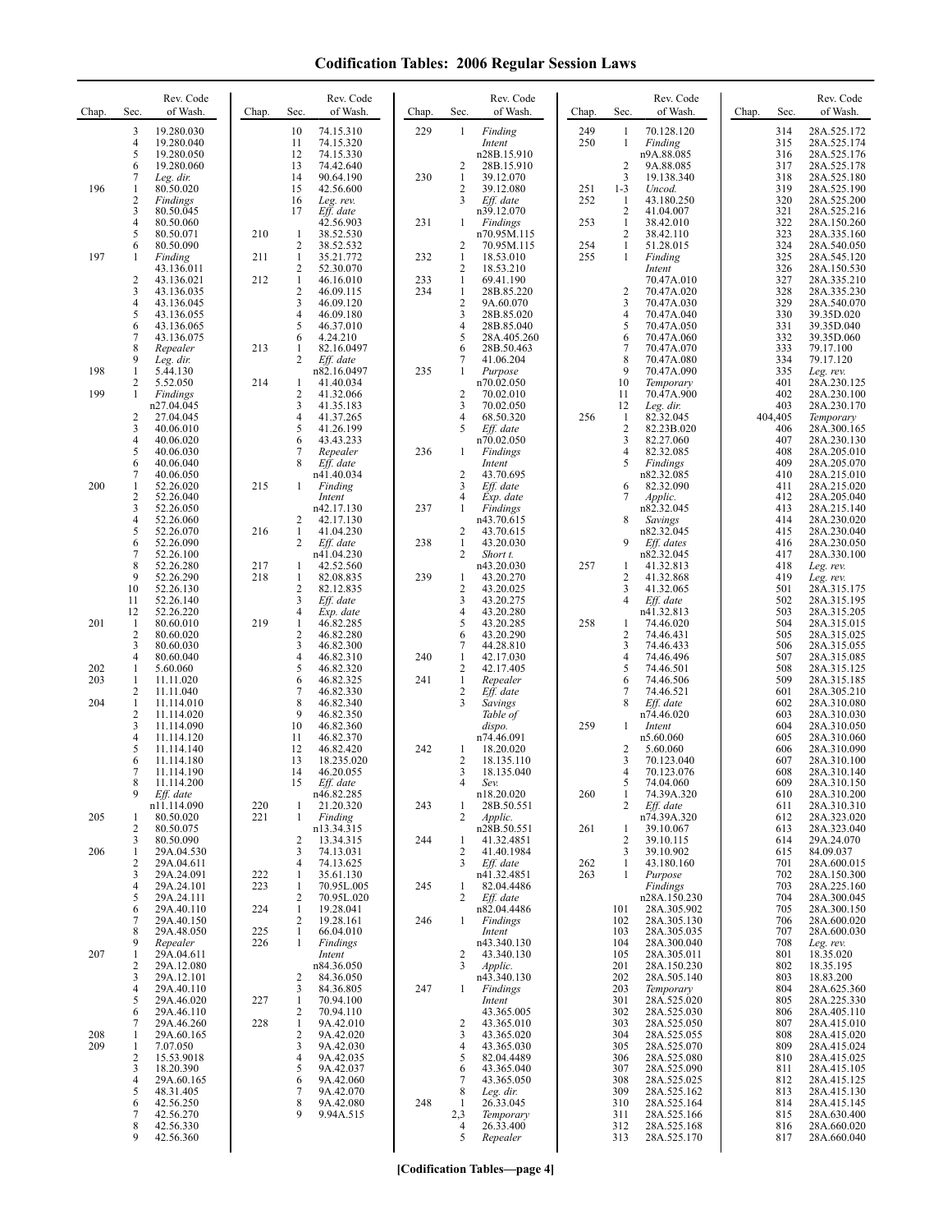| Chap.      | Sec.                           | Rev. Code<br>of Wash.    | Chap.      | Sec.                         | Rev. Code<br>of Wash.    | Chap.      | Sec.                         | Rev. Code<br>of Wash.         | Chap.      | Sec.                         | Rev. Code<br>of Wash.       | Chap. | Sec.           | Rev. Code<br>of Wash.      |
|------------|--------------------------------|--------------------------|------------|------------------------------|--------------------------|------------|------------------------------|-------------------------------|------------|------------------------------|-----------------------------|-------|----------------|----------------------------|
|            | 3                              | 19.280.030               |            | 10                           | 74.15.310                | 229        | 1                            | Finding                       | 249        | -1                           | 70.128.120                  |       | 314            | 28A.525.172                |
|            | $\overline{4}$<br>5            | 19.280.040<br>19.280.050 |            | 11<br>12                     | 74.15.320<br>74.15.330   |            |                              | Intent<br>n28B.15.910         | 250        | 1                            | Finding<br>n9A.88.085       |       | 315<br>316     | 28A.525.174<br>28A.525.176 |
|            | 6                              | 19.280.060               |            | 13                           | 74.42.640                |            | 2                            | 28B.15.910                    |            | $\overline{2}$               | 9A.88.085                   |       | 317            | 28A.525.178                |
| 196        | 7<br>1                         | Leg. dir.<br>80.50.020   |            | 14<br>15                     | 90.64.190<br>42.56.600   | 230        | 1<br>2                       | 39.12.070<br>39.12.080        | 251        | 3<br>$1 - 3$                 | 19.138.340<br>Uncod.        |       | 318<br>319     | 28A.525.180<br>28A.525.190 |
|            | 2                              | Findings                 |            | 16                           | Leg. rev.                |            | $\overline{3}$               | Eff. date                     | 252        | 1                            | 43.180.250                  |       | 320            | 28A.525.200                |
|            | 3<br>4                         | 80.50.045<br>80.50.060   |            | 17                           | Eff. date<br>42.56.903   | 231        | 1                            | n39.12.070<br><b>Findings</b> | 253        | $\overline{c}$<br>1          | 41.04.007<br>38.42.010      |       | 321<br>322     | 28A.525.216<br>28A.150.260 |
|            | 5                              | 80.50.071                | 210        | 1                            | 38.52.530                |            |                              | n70.95M.115                   |            | $\overline{c}$               | 38.42.110                   |       | 323            | 28A.335.160                |
| 197        | 6<br>-1                        | 80.50.090<br>Finding     | 211        | $\mathbf{2}$<br>$\mathbf{1}$ | 38.52.532<br>35.21.772   | 232        | $\overline{\mathbf{c}}$<br>1 | 70.95M.115<br>18.53.010       | 254<br>255 | 1<br>1                       | 51.28.015<br>Finding        |       | 324<br>325     | 28A.540.050<br>28A.545.120 |
|            |                                | 43.136.011               |            | 2                            | 52.30.070                |            | $\overline{2}$               | 18.53.210                     |            |                              | Intent                      |       | 326            | 28A.150.530                |
|            | $\overline{c}$<br>3            | 43.136.021<br>43.136.035 | 212        | $\mathbf{1}$<br>$\mathbf{2}$ | 46.16.010<br>46.09.115   | 233<br>234 | $\mathbf{1}$<br>$\mathbf{1}$ | 69.41.190<br>28B.85.220       |            | $\overline{2}$               | 70.47A.010<br>70.47A.020    |       | 327<br>328     | 28A.335.210<br>28A.335.230 |
|            | 4                              | 43.136.045               |            | 3                            | 46.09.120                |            | $\sqrt{2}$                   | 9A.60.070                     |            | 3                            | 70.47A.030                  |       | 329            | 28A.540.070                |
|            | 5<br>6                         | 43.136.055<br>43.136.065 |            | 4<br>5                       | 46.09.180<br>46.37.010   |            | 3<br>$\overline{4}$          | 28B.85.020<br>28B.85.040      |            | 4<br>5                       | 70.47A.040<br>70.47A.050    |       | 330<br>331     | 39.35D.020<br>39.35D.040   |
|            | 7                              | 43.136.075               |            | 6                            | 4.24.210                 |            | 5                            | 28A.405.260                   |            | 6<br>$\overline{7}$          | 70.47A.060                  |       | 332            | 39.35D.060                 |
|            | 8<br>9                         | Repealer<br>Leg. dir.    | 213        | 1<br>2                       | 82.16.0497<br>Eff. date  |            | 6<br>7                       | 28B.50.463<br>41.06.204       |            | 8                            | 70.47A.070<br>70.47A.080    |       | 333<br>334     | 79.17.100<br>79.17.120     |
| 198        | 1<br>2                         | 5.44.130                 | 214        |                              | n82.16.0497              | 235        | 1                            | Purpose                       |            | 9<br>10                      | 70.47A.090                  |       | 335<br>401     | Leg. rev.                  |
| 199        | 1                              | 5.52.050<br>Findings     |            | 1<br>2                       | 41.40.034<br>41.32.066   |            | 2                            | n70.02.050<br>70.02.010       |            | 11                           | Temporary<br>70.47A.900     |       | 402            | 28A.230.125<br>28A.230.100 |
|            | $\overline{c}$                 | n27.04.045<br>27.04.045  |            | 3<br>4                       | 41.35.183<br>41.37.265   |            | 3<br>4                       | 70.02.050<br>68.50.320        | 256        | 12<br>$\mathbf{1}$           | Leg. dir.<br>82.32.045      |       | 403<br>404,405 | 28A.230.170<br>Temporary   |
|            | 3                              | 40.06.010                |            | 5                            | 41.26.199                |            | 5                            | Eff. date                     |            | $\overline{c}$               | 82.23B.020                  |       | 406            | 28A.300.165                |
|            | 4<br>5                         | 40.06.020<br>40.06.030   |            | 6<br>7                       | 43.43.233<br>Repealer    | 236        | 1                            | n70.02.050<br>Findings        |            | 3<br>4                       | 82.27.060<br>82.32.085      |       | 407<br>408     | 28A.230.130<br>28A.205.010 |
|            | 6                              | 40.06.040                |            | 8                            | Eff. date                |            |                              | Intent                        |            | 5                            | Findings                    |       | 409            | 28A.205.070                |
| 200        | 7<br>$\mathbf{1}$              | 40.06.050<br>52.26.020   | 215        | 1                            | n41.40.034<br>Finding    |            | $\sqrt{2}$<br>3              | 43.70.695<br>Eff. date        |            | 6                            | n82.32.085<br>82.32.090     |       | 410<br>411     | 28A.215.010<br>28A.215.020 |
|            | $\overline{\mathbf{c}}$        | 52.26.040                |            |                              | Intent                   |            | 4                            | Exp. date                     |            | 7                            | Applic.                     |       | 412            | 28A.205.040                |
|            | 3<br>4                         | 52.26.050<br>52.26.060   |            | 2                            | n42.17.130<br>42.17.130  | 237        | 1                            | Findings<br>n43.70.615        |            | 8                            | n82.32.045<br>Savings       |       | 413<br>414     | 28A.215.140<br>28A.230.020 |
|            | 5                              | 52.26.070                | 216        | $\mathbf{1}$                 | 41.04.230                |            | 2                            | 43.70.615                     |            |                              | n82.32.045                  |       | 415            | 28A.230.040                |
|            | 6<br>7                         | 52.26.090<br>52.26.100   |            | 2                            | Eff. date<br>n41.04.230  | 238        | $\mathbf{1}$<br>2            | 43.20.030<br>Short t.         |            | 9                            | Eff. dates<br>n82.32.045    |       | 416<br>417     | 28A.230.050<br>28A.330.100 |
|            | 8<br>9                         | 52.26.280                | 217<br>218 | 1<br>1                       | 42.52.560<br>82.08.835   | 239        |                              | n43.20.030                    | 257        | 1                            | 41.32.813                   |       | 418<br>419     | Leg. rev.                  |
|            | 10                             | 52.26.290<br>52.26.130   |            | $\overline{c}$               | 82.12.835                |            | 1<br>$\sqrt{2}$              | 43.20.270<br>43.20.025        |            | $\overline{\mathbf{c}}$<br>3 | 41.32.868<br>41.32.065      |       | 501            | Leg. rev.<br>28A.315.175   |
|            | 11<br>12                       | 52.26.140<br>52.26.220   |            | 3<br>4                       | Eff. date<br>Exp. date   |            | 3<br>4                       | 43.20.275<br>43.20.280        |            | $\overline{4}$               | Eff. date<br>n41.32.813     |       | 502<br>503     | 28A.315.195<br>28A.315.205 |
| 201        | $\mathbf{1}$                   | 80.60.010                | 219        | $\mathbf{1}$                 | 46.82.285                |            | 5                            | 43.20.285                     | 258        | 1                            | 74.46.020                   |       | 504            | 28A.315.015                |
|            | $\overline{c}$<br>3            | 80.60.020<br>80.60.030   |            | $\mathbf{2}$<br>3            | 46.82.280<br>46.82.300   |            | 6<br>7                       | 43.20.290<br>44.28.810        |            | $\overline{\mathbf{c}}$<br>3 | 74.46.431<br>74.46.433      |       | 505<br>506     | 28A.315.025<br>28A.315.055 |
|            | 4                              | 80.60.040                |            | 4                            | 46.82.310                | 240        | $\mathbf{1}$                 | 42.17.030                     |            | 4                            | 74.46.496                   |       | 507            | 28A.315.085                |
| 202<br>203 | $\mathbf{1}$<br>$\mathbf{1}$   | 5.60.060<br>11.11.020    |            | 5<br>6                       | 46.82.320<br>46.82.325   | 241        | 2<br>$\mathbf{1}$            | 42.17.405<br>Repealer         |            | 5<br>6                       | 74.46.501<br>74.46.506      |       | 508<br>509     | 28A.315.125<br>28A.315.185 |
|            | $\overline{2}$                 | 11.11.040                |            | 7                            | 46.82.330                |            | $\sqrt{2}$                   | Eff. date                     |            | $\overline{7}$               | 74.46.521                   |       | 601            | 28A.305.210                |
| 204        | $\mathbf{1}$<br>$\overline{2}$ | 11.114.010<br>11.114.020 |            | 8<br>9                       | 46.82.340<br>46.82.350   |            | 3                            | Savings<br>Table of           |            | 8                            | Eff. date<br>n74.46.020     |       | 602<br>603     | 28A.310.080<br>28A.310.030 |
|            | 3<br>4                         | 11.114.090<br>11.114.120 |            | 10<br>11                     | 46.82.360<br>46.82.370   |            |                              | dispo.<br>n74.46.091          | 259        | -1                           | Intent<br>n5.60.060         |       | 604<br>605     | 28A.310.050<br>28A.310.060 |
|            | 5                              | 11.114.140               |            | 12                           | 46.82.420                | 242        | 1                            | 18.20.020                     |            | $\overline{\mathbf{c}}$      | 5.60.060                    |       | 606            | 28A.310.090                |
|            | 6<br>7                         | 11.114.180<br>11.114.190 |            | 13<br>14                     | 18.235.020<br>46.20.055  |            | $\overline{2}$<br>3          | 18.135.110<br>18.135.040      |            | $\overline{3}$<br>4          | 70.123.040<br>70.123.076    |       | 607<br>608     | 28A.310.100<br>28A.310.140 |
|            | 8                              | 11.114.200               |            | 15                           | Eff. date                |            |                              | Sev.                          |            | 5                            | 74.04.060                   |       | 609            | 28A.310.150                |
|            | 9                              | Eff. date<br>n11.114.090 | 220        | 1                            | n46.82.285<br>21.20.320  | 243        | 1                            | n18.20.020<br>28B.50.551      | 260        | 1<br>2                       | 74.39A.320<br>Eff. date     |       | 610<br>611     | 28A.310.200<br>28A.310.310 |
| 205        | -1                             | 80.50.020                | 221        | $\mathbf{1}$                 | Finding                  |            | 2                            | Applic.                       |            |                              | n74.39A.320                 |       | 612            | 28A.323.020                |
|            | 2<br>3                         | 80.50.075<br>80.50.090   |            | 2                            | n13.34.315<br>13.34.315  | 244        | 1                            | n28B.50.551<br>41.32.4851     | 261        | 1<br>$\overline{c}$          | 39.10.067<br>39.10.115      |       | 613<br>614     | 28A.323.040<br>29A.24.070  |
| 206        | 1                              | 29A.04.530               |            | 3<br>4                       | 74.13.031<br>74.13.625   |            | $\overline{c}$<br>3          | 41.40.1984<br>Eff. date       |            | 3<br>1                       | 39.10.902                   |       | 615            | 84.09.037                  |
|            | 2<br>3                         | 29A.04.611<br>29A.24.091 | 222        | 1                            | 35.61.130                |            |                              | n41.32.4851                   | 262<br>263 | -1                           | 43.180.160<br>Purpose       |       | 701<br>702     | 28A.600.015<br>28A.150.300 |
|            | 4<br>5                         | 29A.24.101<br>29A.24.111 | 223        | 1<br>2                       | 70.95L.005<br>70.95L.020 | 245        | 1<br>2                       | 82.04.4486                    |            |                              | Findings                    |       | 703<br>704     | 28A.225.160                |
|            | 6                              | 29A.40.110               | 224        | $\mathbf{1}$                 | 19.28.041                |            |                              | Eff. date<br>n82.04.4486      |            | 101                          | n28A.150.230<br>28A.305.902 |       | 705            | 28A.300.045<br>28A.300.150 |
|            | 7<br>8                         | 29A.40.150<br>29A.48.050 | 225        | 2<br>1                       | 19.28.161<br>66.04.010   | 246        | 1                            | Findings<br>Intent            |            | 102<br>103                   | 28A.305.130<br>28A.305.035  |       | 706<br>707     | 28A.600.020<br>28A.600.030 |
|            | 9                              | Repealer                 | 226        | 1                            | Findings                 |            |                              | n43.340.130                   |            | 104                          | 28A.300.040                 |       | 708            | Leg. rev.                  |
| 207        | 1<br>2                         | 29A.04.611<br>29A.12.080 |            |                              | Intent<br>n84.36.050     |            | 2<br>3                       | 43.340.130<br>Applic.         |            | 105<br>201                   | 28A.305.011<br>28A.150.230  |       | 801<br>802     | 18.35.020<br>18.35.195     |
|            | 3                              | 29A.12.101               |            | $\overline{c}$               | 84.36.050                |            |                              | n43.340.130                   |            | 202                          | 28A.505.140                 |       | 803            | 18.83.200                  |
|            | 4<br>5                         | 29A.40.110<br>29A.46.020 | 227        | 3<br>1                       | 84.36.805<br>70.94.100   | 247        | 1                            | Findings<br>Intent            |            | 203<br>301                   | Temporary<br>28A.525.020    |       | 804<br>805     | 28A.625.360<br>28A.225.330 |
|            | 6                              | 29A.46.110               |            | 2                            | 70.94.110                |            |                              | 43.365.005                    |            | 302                          | 28A.525.030                 |       | 806            | 28A.405.110                |
| 208        | 7<br>$\mathbf{1}$              | 29A.46.260<br>29A.60.165 | 228        | 1<br>2                       | 9A.42.010<br>9A.42.020   |            | $\overline{2}$<br>3          | 43.365.010<br>43.365.020      |            | 303<br>304                   | 28A.525.050<br>28A.525.055  |       | 807<br>808     | 28A.415.010<br>28A.415.020 |
| 209        | $\mathbf{1}$<br>$\overline{2}$ | 7.07.050                 |            | 3<br>4                       | 9A.42.030                |            | 4<br>5                       | 43.365.030                    |            | 305                          | 28A.525.070                 |       | 809            | 28A.415.024                |
|            | 3                              | 15.53.9018<br>18.20.390  |            | 5                            | 9A.42.035<br>9A.42.037   |            | 6                            | 82.04.4489<br>43.365.040      |            | 306<br>307                   | 28A.525.080<br>28A.525.090  |       | 810<br>811     | 28A.415.025<br>28A.415.105 |
|            | 4<br>5                         | 29A.60.165<br>48.31.405  |            | 6<br>7                       | 9A.42.060<br>9A.42.070   |            | 7<br>8                       | 43.365.050<br>Leg. dir.       |            | 308<br>309                   | 28A.525.025<br>28A.525.162  |       | 812<br>813     | 28A.415.125<br>28A.415.130 |
|            | 6                              | 42.56.250                |            | 8                            | 9A.42.080                | 248        | 1                            | 26.33.045                     |            | 310                          | 28A.525.164                 |       | 814            | 28A.415.145                |
|            | 7<br>8                         | 42.56.270<br>42.56.330   |            | 9                            | 9.94A.515                |            | 2,3<br>4                     | Temporary<br>26.33.400        |            | 311<br>312                   | 28A.525.166<br>28A.525.168  |       | 815<br>816     | 28A.630.400<br>28A.660.020 |
|            | 9                              | 42.56.360                |            |                              |                          |            | 5                            | Repealer                      |            | 313                          | 28A.525.170                 |       | 817            | 28A.660.040                |
|            |                                |                          |            |                              |                          |            |                              |                               |            |                              |                             |       |                |                            |

**[Codification Tables—page 4]**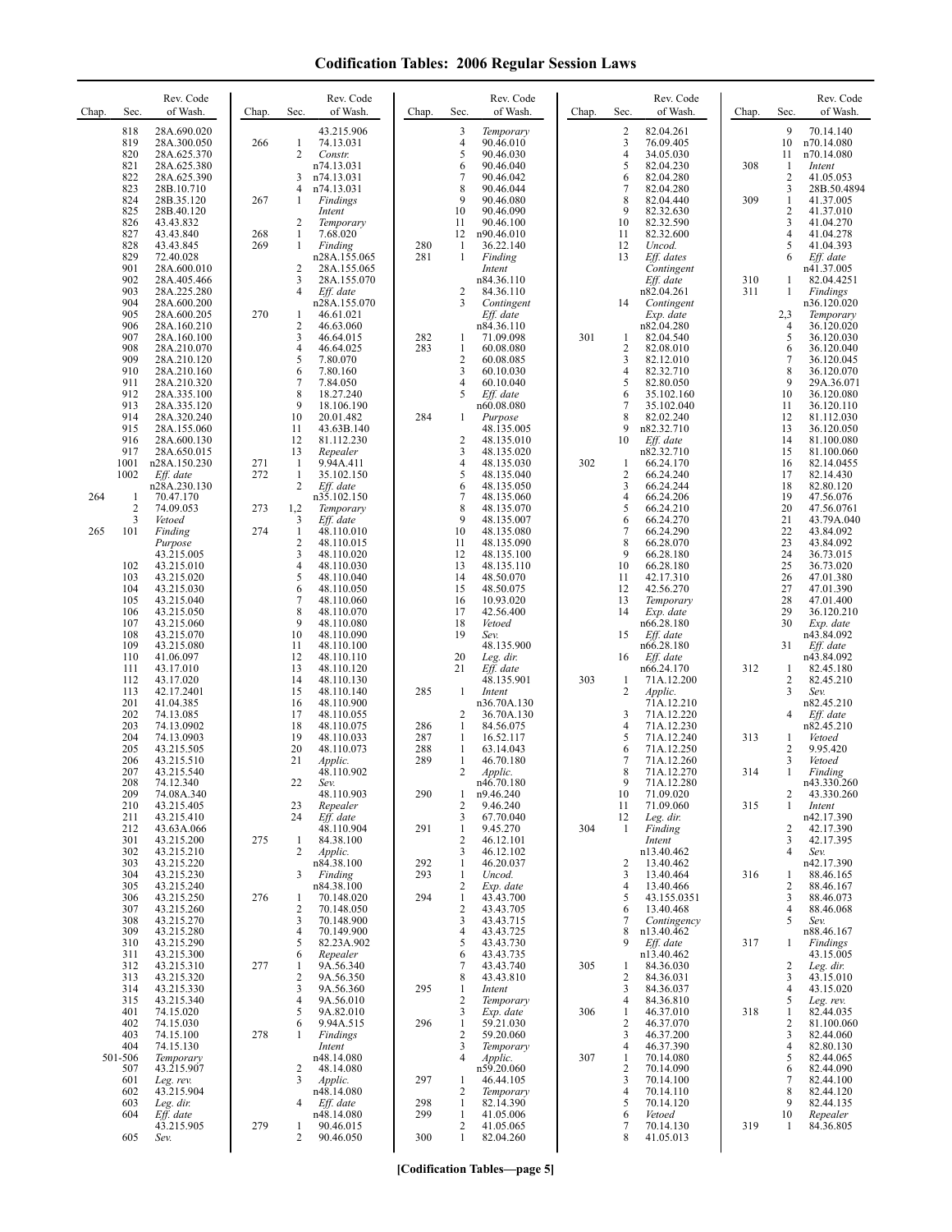| Chap.      | Sec.                                     | Rev. Code<br>of Wash.                                                   | Chap.      | Sec.                                     | Rev. Code<br>of Wash.                                              | Chap.             | Sec.                                                             | Rev. Code<br>of Wash.                                              | Chap. | Sec.                                            | Rev. Code<br>of Wash.                                              | Chap.      | Sec.                                          | Rev. Code<br>of Wash.                                              |
|------------|------------------------------------------|-------------------------------------------------------------------------|------------|------------------------------------------|--------------------------------------------------------------------|-------------------|------------------------------------------------------------------|--------------------------------------------------------------------|-------|-------------------------------------------------|--------------------------------------------------------------------|------------|-----------------------------------------------|--------------------------------------------------------------------|
|            | 818<br>819<br>820<br>821                 | 28A.690.020<br>28A.300.050<br>28A.625.370<br>28A.625.380                | 266        | 1<br>$\overline{2}$                      | 43.215.906<br>74.13.031<br>Constr.<br>n74.13.031                   |                   | 3<br>4<br>5<br>6                                                 | Temporary<br>90.46.010<br>90.46.030<br>90.46.040                   |       | $\overline{c}$<br>3<br>$\overline{4}$<br>5      | 82.04.261<br>76.09.405<br>34.05.030<br>82.04.230                   | 308        | 9<br>10<br>11<br>1                            | 70.14.140<br>n70.14.080<br>n70.14.080<br>Intent                    |
|            | 822<br>823<br>824<br>825<br>826          | 28A.625.390<br>28B.10.710<br>28B.35.120<br>28B.40.120<br>43.43.832      | 267        | 3<br>4<br>1<br>2                         | n74.13.031<br>n74.13.031<br>Findings<br>Intent<br>Temporary        |                   | 7<br>8<br>9<br>10<br>11                                          | 90.46.042<br>90.46.044<br>90.46.080<br>90.46.090<br>90.46.100      |       | 6<br>7<br>8<br>9<br>10                          | 82.04.280<br>82.04.280<br>82.04.440<br>82.32.630<br>82.32.590      | 309        | $\overline{c}$<br>3<br>$\mathbf{1}$<br>2<br>3 | 41.05.053<br>28B.50.4894<br>41.37.005<br>41.37.010<br>41.04.270    |
|            | 827<br>828<br>829<br>901                 | 43.43.840<br>43.43.845<br>72.40.028<br>28A.600.010                      | 268<br>269 | 1<br>$\mathbf{1}$<br>2                   | 7.68.020<br>Finding<br>n28A.155.065<br>28A.155.065                 | 280<br>281        | 12<br>$\mathbf{1}$<br>1                                          | n90.46.010<br>36.22.140<br>Finding<br>Intent                       |       | 11<br>12<br>13                                  | 82.32.600<br>Uncod.<br>Eff. dates<br>Contingent                    |            | 4<br>5<br>6                                   | 41.04.278<br>41.04.393<br>Eff. date<br>n41.37.005                  |
|            | 902<br>903<br>904<br>905<br>906          | 28A.405.466<br>28A.225.280<br>28A.600.200<br>28A.600.205<br>28A.160.210 | 270        | 3<br>$\overline{4}$<br>1<br>$\mathbf{2}$ | 28A.155.070<br>Eff. date<br>n28A.155.070<br>46.61.021<br>46.63.060 |                   | 2<br>3                                                           | n84.36.110<br>84.36.110<br>Contingent<br>Eff. date<br>n84.36.110   |       | 14                                              | Eff. date<br>n82.04.261<br>Contingent<br>Exp. date<br>n82.04.280   | 310<br>311 | 1<br>1<br>2,3<br>4                            | 82.04.4251<br>Findings<br>n36.120.020<br>Temporary<br>36.120.020   |
|            | 907<br>908<br>909<br>910                 | 28A.160.100<br>28A.210.070<br>28A.210.120<br>28A.210.160                |            | 3<br>4<br>5<br>6                         | 46.64.015<br>46.64.025<br>7.80.070<br>7.80.160                     | 282<br>283        | 1<br>1<br>$\overline{2}$<br>3                                    | 71.09.098<br>60.08.080<br>60.08.085<br>60.10.030                   | 301   | 1<br>$\overline{2}$<br>3<br>4                   | 82.04.540<br>82.08.010<br>82.12.010<br>82.32.710                   |            | 5<br>6<br>$\tau$<br>8                         | 36.120.030<br>36.120.040<br>36.120.045<br>36.120.070               |
|            | 911<br>912<br>913<br>914<br>915          | 28A.210.320<br>28A.335.100<br>28A.335.120<br>28A.320.240<br>28A.155.060 |            | 7<br>8<br>9<br>10<br>11                  | 7.84.050<br>18.27.240<br>18.106.190<br>20.01.482<br>43.63B.140     | 284               | 4<br>5<br>1                                                      | 60.10.040<br>Eff. date<br>n60.08.080<br>Purpose<br>48.135.005      |       | 5<br>6<br>$\overline{7}$<br>8<br>9              | 82.80.050<br>35.102.160<br>35.102.040<br>82.02.240<br>n82.32.710   |            | 9<br>10<br>11<br>12<br>13                     | 29A.36.071<br>36.120.080<br>36.120.110<br>81.112.030<br>36.120.050 |
|            | 916<br>917<br>1001<br>1002               | 28A.600.130<br>28A.650.015<br>n28A.150.230<br>Eff. date<br>n28A.230.130 | 271<br>272 | 12<br>13<br>-1<br>$\mathbf{1}$<br>2      | 81.112.230<br>Repealer<br>9.94A.411<br>35.102.150<br>Eff. date     |                   | 2<br>3<br>4<br>5<br>6                                            | 48.135.010<br>48.135.020<br>48.135.030<br>48.135.040<br>48.135.050 | 302   | 10<br>1<br>$\overline{2}$<br>3                  | Eff. date<br>n82.32.710<br>66.24.170<br>66.24.240<br>66.24.244     |            | 14<br>15<br>16<br>17<br>18                    | 81.100.080<br>81.100.060<br>82.14.0455<br>82.14.430<br>82.80.120   |
| 264<br>265 | 1<br>$\overline{\mathbf{c}}$<br>3<br>101 | 70.47.170<br>74.09.053<br>Vetoed<br>Finding                             | 273<br>274 | 1,2<br>3<br>$\mathbf{1}$                 | n35.102.150<br>Temporary<br>Eff. date<br>48.110.010                |                   | 7<br>8<br>9<br>10                                                | 48.135.060<br>48.135.070<br>48.135.007<br>48.135.080               |       | $\overline{4}$<br>5<br>6<br>$\overline{7}$      | 66.24.206<br>66.24.210<br>66.24.270<br>66.24.290                   |            | 19<br>20<br>21<br>22                          | 47.56.076<br>47.56.0761<br>43.79A.040<br>43.84.092                 |
|            | 102<br>103<br>104                        | Purpose<br>43.215.005<br>43.215.010<br>43.215.020<br>43.215.030         |            | 2<br>3<br>4<br>5<br>6                    | 48.110.015<br>48.110.020<br>48.110.030<br>48.110.040<br>48.110.050 |                   | 11<br>12<br>13<br>14<br>15                                       | 48.135.090<br>48.135.100<br>48.135.110<br>48.50.070<br>48.50.075   |       | 8<br>9<br>10<br>11<br>12                        | 66.28.070<br>66.28.180<br>66.28.180<br>42.17.310<br>42.56.270      |            | 23<br>24<br>25<br>26<br>27                    | 43.84.092<br>36.73.015<br>36.73.020<br>47.01.380<br>47.01.390      |
|            | 105<br>106<br>107<br>108<br>109          | 43.215.040<br>43.215.050<br>43.215.060<br>43.215.070<br>43.215.080      |            | 7<br>8<br>9<br>10<br>11                  | 48.110.060<br>48.110.070<br>48.110.080<br>48.110.090<br>48.110.100 |                   | 16<br>17<br>18<br>19                                             | 10.93.020<br>42.56.400<br>Vetoed<br>Sev.<br>48.135.900             |       | 13<br>14<br>15                                  | Temporary<br>Exp. date<br>n66.28.180<br>Eff. date<br>n66.28.180    |            | 28<br>29<br>30<br>31                          | 47.01.400<br>36.120.210<br>Exp. date<br>n43.84.092<br>Eff. date    |
|            | 110<br>111<br>112<br>113<br>201          | 41.06.097<br>43.17.010<br>43.17.020<br>42.17.2401<br>41.04.385          |            | 12<br>13<br>14<br>15<br>16               | 48.110.110<br>48.110.120<br>48.110.130<br>48.110.140<br>48.110.900 | 285               | 20<br>21<br>$\mathbf{1}$                                         | Leg. dir.<br>Eff. date<br>48.135.901<br>Intent<br>n36.70A.130      | 303   | 16<br>1<br>2                                    | Eff. date<br>n66.24.170<br>71A.12.200<br>Applic.                   | 312        | 1<br>2<br>3                                   | n43.84.092<br>82.45.180<br>82.45.210<br>Sev.                       |
|            | 202<br>203<br>204<br>205                 | 74.13.085<br>74.13.0902<br>74.13.0903<br>43.215.505                     |            | 17<br>18<br>19<br>20                     | 48.110.055<br>48.110.075<br>48.110.033<br>48.110.073               | 286<br>287<br>288 | 2<br>1<br>1<br>1                                                 | 36.70A.130<br>84.56.075<br>16.52.117<br>63.14.043                  |       | 3<br>4<br>5<br>6                                | 71A.12.210<br>71A.12.220<br>71A.12.230<br>71A.12.240<br>71A.12.250 | 313        | 4<br>1<br>2                                   | n82.45.210<br>Eff. date<br>n82.45.210<br>Vetoed<br>9.95.420        |
|            | 206<br>207<br>208<br>209<br>210          | 43.215.510<br>43.215.540<br>74.12.340<br>74.08A.340<br>43.215.405       |            | 21<br>22<br>23                           | Applic.<br>48.110.902<br>Sev.<br>48.110.903<br>Repealer            | 289<br>290        | $\mathbf{1}$<br>2<br>1<br>2                                      | 46.70.180<br>Applic.<br>n46.70.180<br>n9.46.240<br>9.46.240        |       | $\overline{7}$<br>8<br>9<br>10<br>11            | 71A.12.260<br>71A.12.270<br>71A.12.280<br>71.09.020<br>71.09.060   | 314<br>315 | 3<br>1<br>2<br>1                              | Vetoed<br>Finding<br>n43.330.260<br>43.330.260<br>Intent           |
|            | 211<br>212<br>301<br>302<br>303          | 43.215.410<br>43.63A.066<br>43.215.200<br>43.215.210                    | 275        | 24<br>-1<br>2                            | Eff. date<br>48.110.904<br>84.38.100<br>Applic.<br>n84.38.100      | 291<br>292        | 3<br>1<br>$\overline{2}$<br>3<br>1                               | 67.70.040<br>9.45.270<br>46.12.101<br>46.12.102<br>46.20.037       | 304   | 12<br>-1<br>2                                   | Leg. dir.<br>Finding<br>Intent<br>n13.40.462<br>13.40.462          |            | 2<br>3<br>4                                   | n42.17.390<br>42.17.390<br>42.17.395<br>Sev.<br>n42.17.390         |
|            | 304<br>305<br>306<br>307                 | 43.215.220<br>43.215.230<br>43.215.240<br>43.215.250<br>43.215.260      | 276        | 3<br>1<br>$\sqrt{2}$                     | Finding<br>n84.38.100<br>70.148.020<br>70.148.050                  | 293<br>294        | $\mathbf{1}$<br>$\overline{c}$<br>$\mathbf{1}$<br>$\overline{2}$ | Uncod.<br>Exp. date<br>43.43.700<br>43.43.705                      |       | 3<br>4<br>5<br>6                                | 13.40.464<br>13.40.466<br>43.155.0351<br>13.40.468                 | 316        | 1<br>2<br>3<br>4                              | 88.46.165<br>88.46.167<br>88.46.073<br>88.46.068                   |
|            | 308<br>309<br>310<br>311<br>312          | 43.215.270<br>43.215.280<br>43.215.290<br>43.215.300<br>43.215.310      | 277        | 3<br>$\overline{4}$<br>5<br>6<br>1       | 70.148.900<br>70.149.900<br>82.23A.902<br>Repealer<br>9A.56.340    |                   | 3<br>4<br>5<br>6<br>7                                            | 43.43.715<br>43.43.725<br>43.43.730<br>43.43.735<br>43.43.740      | 305   | 7<br>8<br>9<br>-1                               | Contingency<br>n13.40.462<br>Eff. date<br>n13.40.462<br>84.36.030  | 317        | 5<br>1<br>2                                   | Sev.<br>n88.46.167<br>Findings<br>43.15.005<br>Leg. dir.           |
|            | 313<br>314<br>315<br>401<br>402          | 43.215.320<br>43.215.330<br>43.215.340<br>74.15.020<br>74.15.030        |            | 2<br>3<br>4<br>5<br>6                    | 9A.56.350<br>9A.56.360<br>9A.56.010<br>9A.82.010<br>9.94A.515      | 295<br>296        | 8<br>1<br>$\overline{2}$<br>3<br>$\mathbf{1}$                    | 43.43.810<br>Intent<br>Temporary<br>Exp. date<br>59.21.030         | 306   | $\overline{2}$<br>3<br>$\overline{4}$<br>1<br>2 | 84.36.031<br>84.36.037<br>84.36.810<br>46.37.010<br>46.37.070      | 318        | 3<br>4<br>5<br>1<br>2                         | 43.15.010<br>43.15.020<br>Leg. rev.<br>82.44.035<br>81.100.060     |
|            | 403<br>404<br>501-506<br>507             | 74.15.100<br>74.15.130<br>Temporary<br>43.215.907                       | 278        | 1<br>2                                   | Findings<br>Intent<br>n48.14.080<br>48.14.080                      |                   | $\overline{c}$<br>3<br>4                                         | 59.20.060<br>Temporary<br>Applic.<br>n59.20.060                    | 307   | 3<br>$\overline{4}$<br>-1<br>$\overline{2}$     | 46.37.200<br>46.37.390<br>70.14.080<br>70.14.090                   |            | 3<br>4<br>5<br>6                              | 82.44.060<br>82.80.130<br>82.44.065<br>82.44.090                   |
|            | 601<br>602<br>603<br>604                 | Leg. rev.<br>43.215.904<br>Leg. dir.<br>Eff. date<br>43.215.905         | 279        | 3<br>4<br>1                              | Applic.<br>n48.14.080<br>Eff. date<br>n48.14.080<br>90.46.015      | 297<br>298<br>299 | 1<br>$\overline{2}$<br>1<br>1<br>2                               | 46.44.105<br>Temporary<br>82.14.390<br>41.05.006<br>41.05.065      |       | 3<br>$\overline{4}$<br>5<br>6<br>7              | 70.14.100<br>70.14.110<br>70.14.120<br>Vetoed<br>70.14.130         | 319        | 7<br>8<br>9<br>10<br>1                        | 82.44.100<br>82.44.120<br>82.44.135<br>Repealer<br>84.36.805       |
|            | 605                                      | Sev.                                                                    |            | 2                                        | 90.46.050                                                          | 300               | $\mathbf{1}$                                                     | 82.04.260                                                          |       | 8                                               | 41.05.013                                                          |            |                                               |                                                                    |

**[Codification Tables—page 5]**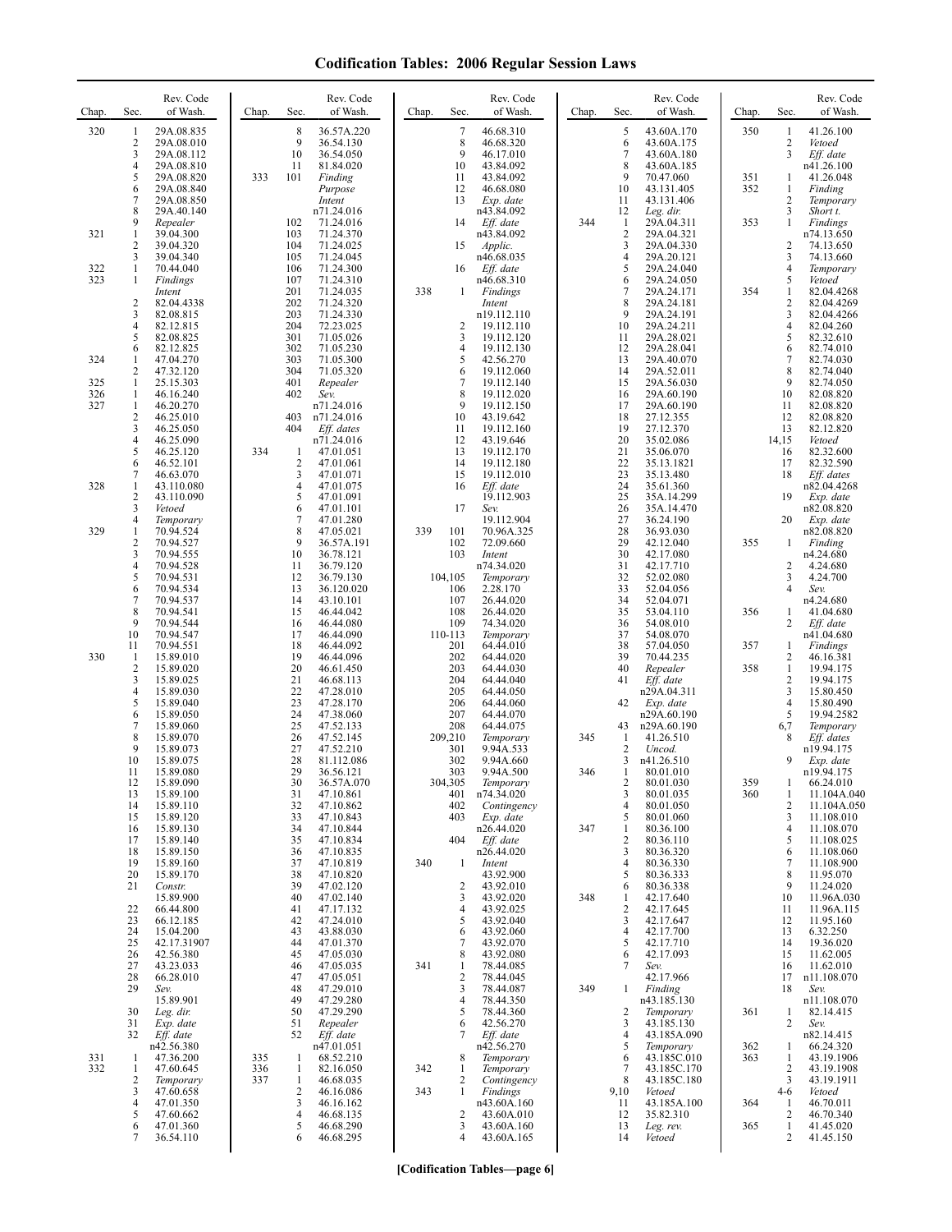| Chap.             | Sec.                                             | Rev. Code<br>of Wash.                                                            | Chap.      | Rev. Code<br>of Wash.<br>Sec.                                                                        | Chap.<br>Sec.                              | Rev. Code<br>of Wash.                                                      | Chap. | Sec.                               | Rev. Code<br>of Wash.                                                           | Chap.             | Sec.                               | Rev. Code<br>of Wash.                                                  |
|-------------------|--------------------------------------------------|----------------------------------------------------------------------------------|------------|------------------------------------------------------------------------------------------------------|--------------------------------------------|----------------------------------------------------------------------------|-------|------------------------------------|---------------------------------------------------------------------------------|-------------------|------------------------------------|------------------------------------------------------------------------|
| 320               | 1<br>$\overline{\mathbf{c}}$<br>3<br>4<br>5<br>6 | 29A.08.835<br>29A.08.010<br>29A.08.112<br>29A.08.810<br>29A.08.820<br>29A.08.840 | 333        | 8<br>36.57A.220<br>9<br>36.54.130<br>10<br>36.54.050<br>11<br>81.84.020<br>101<br>Finding<br>Purpose | 7<br>8<br>9<br>10<br>11<br>12              | 46.68.310<br>46.68.320<br>46.17.010<br>43.84.092<br>43.84.092<br>46.68.080 |       | 5<br>6<br>7<br>8<br>9<br>10        | 43.60A.170<br>43.60A.175<br>43.60A.180<br>43.60A.185<br>70.47.060<br>43.131.405 | 350<br>351<br>352 | 1<br>$\overline{c}$<br>3<br>1<br>1 | 41.26.100<br>Vetoed<br>Eff. date<br>n41.26.100<br>41.26.048<br>Finding |
| 321               | 7<br>8<br>9<br>1                                 | 29A.08.850<br>29A.40.140<br>Repealer<br>39.04.300                                |            | Intent<br>n71.24.016<br>102<br>71.24.016<br>103<br>71.24.370                                         | 13<br>14                                   | Exp. date<br>n43.84.092<br>Eff. date<br>n43.84.092                         | 344   | 11<br>12<br>1<br>$\overline{2}$    | 43.131.406<br>Leg. dir.<br>29A.04.311<br>29A.04.321                             | 353               | $\overline{c}$<br>3<br>1           | Temporary<br>Short t.<br>Findings<br>n74.13.650                        |
| 322               | $\overline{c}$<br>3<br>1                         | 39.04.320<br>39.04.340<br>70.44.040                                              |            | 104<br>71.24.025<br>105<br>71.24.045<br>106<br>71.24.300                                             | 15<br>16                                   | Applic.<br>n46.68.035<br>Eff. date                                         |       | 3<br>$\overline{4}$<br>5           | 29A.04.330<br>29A.20.121<br>29A.24.040                                          |                   | 2<br>3<br>4                        | 74.13.650<br>74.13.660<br>Temporary                                    |
| 323               | 1<br>$\overline{\mathbf{c}}$<br>3                | Findings<br>Intent<br>82.04.4338<br>82.08.815                                    |            | 107<br>71.24.310<br>201<br>71.24.035<br>202<br>71.24.320<br>203<br>71.24.330                         | 338<br>$\mathbf{1}$                        | n46.68.310<br><b>Findings</b><br>Intent<br>n19.112.110                     |       | 6<br>$\overline{7}$<br>8<br>9      | 29A.24.050<br>29A.24.171<br>29A.24.181<br>29A.24.191                            | 354               | 5<br>1<br>2<br>3                   | Vetoed<br>82.04.4268<br>82.04.4269<br>82.04.4266                       |
|                   | 4<br>5<br>6                                      | 82.12.815<br>82.08.825<br>82.12.825                                              |            | 204<br>72.23.025<br>301<br>71.05.026<br>302<br>71.05.230                                             | 2<br>3<br>4                                | 19.112.110<br>19.112.120<br>19.112.130                                     |       | 10<br>11<br>12                     | 29A.24.211<br>29A.28.021<br>29A.28.041                                          |                   | 4<br>5<br>6                        | 82.04.260<br>82.32.610<br>82.74.010                                    |
| 324               | 1<br>2                                           | 47.04.270<br>47.32.120                                                           |            | 303<br>71.05.300<br>304<br>71.05.320                                                                 | 5<br>6                                     | 42.56.270<br>19.112.060                                                    |       | 13<br>14                           | 29A.40.070<br>29A.52.011                                                        |                   | 7<br>8                             | 82.74.030<br>82.74.040                                                 |
| 325<br>326<br>327 | 1<br>1<br>1                                      | 25.15.303<br>46.16.240<br>46.20.270                                              |            | 401<br>Repealer<br>402<br>Sev.<br>n71.24.016                                                         | 7<br>8<br>9                                | 19.112.140<br>19.112.020<br>19.112.150                                     |       | 15<br>16<br>17                     | 29A.56.030<br>29A.60.190<br>29A.60.190                                          |                   | 9<br>10<br>11                      | 82.74.050<br>82.08.820<br>82.08.820                                    |
|                   | $\overline{c}$<br>3<br>4<br>5                    | 46.25.010<br>46.25.050<br>46.25.090<br>46.25.120                                 | 334        | 403<br>n71.24.016<br>404<br>Eff. dates<br>n71.24.016<br>47.01.051<br>1                               | 10<br>11<br>12<br>13                       | 43.19.642<br>19.112.160<br>43.19.646<br>19.112.170                         |       | 18<br>19<br>20<br>21               | 27.12.355<br>27.12.370<br>35.02.086<br>35.06.070                                |                   | 12<br>13<br>14,15<br>16            | 82.08.820<br>82.12.820<br>Vetoed<br>82.32.600                          |
| 328               | 6<br>7<br>1                                      | 46.52.101<br>46.63.070<br>43.110.080                                             |            | $\overline{2}$<br>47.01.061<br>3<br>47.01.071<br>$\overline{4}$<br>47.01.075                         | 14<br>15<br>16                             | 19.112.180<br>19.112.010<br>Eff. date                                      |       | 22<br>23<br>24                     | 35.13.1821<br>35.13.480<br>35.61.360                                            |                   | 17<br>18                           | 82.32.590<br>Eff. dates<br>n82.04.4268                                 |
|                   | $\overline{c}$<br>3<br>4                         | 43.110.090<br>Vetoed<br>Temporary                                                |            | 5<br>47.01.091<br>6<br>47.01.101<br>7<br>47.01.280                                                   | 17                                         | 19.112.903<br>Sev.<br>19.112.904                                           |       | 25<br>26<br>27                     | 35A.14.299<br>35A.14.470<br>36.24.190                                           |                   | 19<br>20                           | Exp. date<br>n82.08.820<br>Exp. date                                   |
| 329               | 1<br>$\overline{c}$                              | 70.94.524<br>70.94.527                                                           |            | 8<br>47.05.021<br>9<br>36.57A.191                                                                    | 339<br>101<br>102                          | 70.96A.325<br>72.09.660                                                    |       | 28<br>29                           | 36.93.030<br>42.12.040                                                          | 355               | 1                                  | n82.08.820<br>Finding                                                  |
|                   | 3<br>4<br>5                                      | 70.94.555<br>70.94.528<br>70.94.531                                              |            | 10<br>36.78.121<br>11<br>36.79.120<br>12<br>36.79.130                                                | 103<br>104,105                             | Intent<br>n74.34.020<br>Temporary                                          |       | 30<br>31<br>32                     | 42.17.080<br>42.17.710<br>52.02.080                                             |                   | 2<br>3                             | n4.24.680<br>4.24.680<br>4.24.700                                      |
|                   | 6<br>7                                           | 70.94.534<br>70.94.537                                                           |            | 13<br>36.120.020<br>14<br>43.10.101                                                                  | 106<br>107                                 | 2.28.170<br>26.44.020                                                      |       | 33<br>34                           | 52.04.056<br>52.04.071                                                          |                   | 4                                  | Sev.<br>n4.24.680                                                      |
|                   | 8<br>9<br>10                                     | 70.94.541<br>70.94.544<br>70.94.547                                              |            | 15<br>46.44.042<br>16<br>46.44.080<br>17<br>46.44.090                                                | 108<br>109<br>110-113                      | 26.44.020<br>74.34.020<br>Temporary                                        |       | 35<br>36<br>37                     | 53.04.110<br>54.08.010<br>54.08.070                                             | 356               | 1<br>2                             | 41.04.680<br>Eff. date<br>n41.04.680                                   |
| 330               | 11<br>1                                          | 70.94.551<br>15.89.010                                                           |            | 18<br>46.44.092<br>19<br>46.44.096                                                                   | 201<br>202                                 | 64.44.010<br>64.44.020                                                     |       | 38<br>39                           | 57.04.050<br>70.44.235                                                          | 357               | 1<br>$\overline{c}$                | Findings<br>46.16.381                                                  |
|                   | $\overline{\mathbf{c}}$<br>3<br>4                | 15.89.020<br>15.89.025<br>15.89.030                                              |            | 20<br>46.61.450<br>21<br>46.68.113<br>22<br>47.28.010                                                | 203<br>204<br>205                          | 64.44.030<br>64.44.040<br>64.44.050                                        |       | 40<br>41                           | Repealer<br>Eff. date<br>n29A.04.311                                            | 358               | 1<br>$\overline{c}$<br>3           | 19.94.175<br>19.94.175<br>15.80.450                                    |
|                   | 5<br>6                                           | 15.89.040<br>15.89.050                                                           |            | 23<br>47.28.170<br>24<br>47.38.060                                                                   | 206<br>207                                 | 64.44.060<br>64.44.070                                                     |       | 42                                 | Exp. date<br>n29A.60.190                                                        |                   | $\overline{4}$<br>5                | 15.80.490<br>19.94.2582                                                |
|                   | 7<br>8<br>9                                      | 15.89.060<br>15.89.070<br>15.89.073                                              |            | 25<br>47.52.133<br>26<br>47.52.145<br>27<br>47.52.210                                                | 208<br>209,210<br>301                      | 64.44.075<br>Temporary<br>9.94A.533                                        | 345   | 43<br>1<br>$\overline{c}$          | n29A.60.190<br>41.26.510<br>Uncod.                                              |                   | 6,7<br>8                           | Temporary<br>Eff. dates<br>n19.94.175                                  |
|                   | 10<br>11                                         | 15.89.075<br>15.89.080                                                           |            | 28<br>81.112.086<br>29<br>36.56.121                                                                  | 302<br>303                                 | 9.94A.660<br>9.94A.500                                                     | 346   | 3<br>1                             | n41.26.510<br>80.01.010                                                         |                   | 9                                  | Exp. date<br>n19.94.175                                                |
|                   | 12<br>13<br>14                                   | 15.89.090<br>15.89.100<br>15.89.110                                              |            | 30<br>36.57A.070<br>31<br>47.10.861<br>32<br>47.10.862                                               | 304,305<br>401<br>402                      | Temporary<br>n74.34.020<br>Contingency                                     |       | 2<br>3<br>$\overline{4}$           | 80.01.030<br>80.01.035<br>80.01.050                                             | 359<br>360        | 1<br>2                             | 66.24.010<br>11.104A.040<br>11.104A.050                                |
|                   | 15<br>16                                         | 15.89.120<br>15.89.130                                                           |            | 33<br>47.10.843<br>34<br>47.10.844                                                                   | 403                                        | Exp. date<br>n26.44.020                                                    | 347   | 5<br>1                             | 80.01.060<br>80.36.100                                                          |                   | 3<br>4                             | 11.108.010<br>11.108.070                                               |
|                   | 17<br>18<br>19                                   | 15.89.140<br>15.89.150<br>15.89.160                                              |            | 35<br>47.10.834<br>47.10.835<br>36<br>37<br>47.10.819                                                | 404<br>340<br>-1                           | Eff. date<br>n26.44.020<br>Intent                                          |       | $\overline{c}$<br>3<br>4           | 80.36.110<br>80.36.320<br>80.36.330                                             |                   | 5<br>6<br>7                        | 11.108.025<br>11.108.060<br>11.108.900                                 |
|                   | 20<br>21                                         | 15.89.170<br>Constr.                                                             |            | 38<br>47.10.820<br>47.02.120<br>39                                                                   | $\overline{c}$                             | 43.92.900<br>43.92.010                                                     |       | 5<br>6                             | 80.36.333<br>80.36.338                                                          |                   | 8<br>9                             | 11.95.070<br>11.24.020                                                 |
|                   | 22<br>23                                         | 15.89.900<br>66.44.800<br>66.12.185                                              |            | 40<br>47.02.140<br>41<br>47.17.132<br>42<br>47.24.010                                                | 3<br>4<br>5                                | 43.92.020<br>43.92.025<br>43.92.040                                        | 348   | -1<br>$\overline{\mathbf{c}}$<br>3 | 42.17.640<br>42.17.645<br>42.17.647                                             |                   | 10<br>11<br>12                     | 11.96A.030<br>11.96A.115<br>11.95.160                                  |
|                   | 24<br>25                                         | 15.04.200<br>42.17.31907                                                         |            | 43.88.030<br>43<br>44<br>47.01.370                                                                   | 6<br>7                                     | 43.92.060<br>43.92.070                                                     |       | 4<br>5                             | 42.17.700<br>42.17.710                                                          |                   | 13<br>14                           | 6.32.250<br>19.36.020                                                  |
|                   | 26<br>27<br>28                                   | 42.56.380<br>43.23.033<br>66.28.010                                              |            | 45<br>47.05.030<br>46<br>47.05.035<br>47<br>47.05.051                                                | 8<br>341<br>$\mathbf{1}$<br>$\overline{2}$ | 43.92.080<br>78.44.085<br>78.44.045                                        |       | 6<br>7                             | 42.17.093<br>Sev.<br>42.17.966                                                  |                   | 15<br>16<br>17                     | 11.62.005<br>11.62.010<br>n11.108.070                                  |
|                   | 29                                               | Sev.<br>15.89.901                                                                |            | 48<br>47.29.010<br>49<br>47.29.280                                                                   | 3<br>4                                     | 78.44.087<br>78.44.350                                                     | 349   | 1                                  | Finding<br>n43.185.130                                                          |                   | 18                                 | Sev.<br>n11.108.070                                                    |
|                   | 30<br>31<br>32                                   | Leg. dir.<br>Exp. date<br>Eff. date                                              |            | 50<br>47.29.290<br>51<br>Repealer<br>52<br>Eff. date                                                 | 5<br>6<br>7                                | 78.44.360<br>42.56.270<br>Eff. date                                        |       | 2<br>3<br>4                        | Temporary<br>43.185.130<br>43.185A.090                                          | 361               | 1<br>2                             | 82.14.415<br>Sev.<br>n82.14.415                                        |
| 331<br>332        | $\mathbf{1}$<br>1                                | n42.56.380<br>47.36.200<br>47.60.645                                             | 335<br>336 | n47.01.051<br>68.52.210<br>$\mathbf{1}$<br>$\mathbf{1}$<br>82.16.050                                 | 8<br>342<br>1                              | n42.56.270<br>Temporary                                                    |       | 5<br>6<br>7                        | Temporary<br>43.185C.010<br>43.185C.170                                         | 362<br>363        | 1<br>1<br>2                        | 66.24.320<br>43.19.1906                                                |
|                   | 2<br>3                                           | Temporary<br>47.60.658                                                           | 337        | 1<br>46.68.035<br>$\overline{c}$<br>46.16.086                                                        | 2<br>343<br>1                              | Temporary<br>Contingency<br>Findings                                       |       | 8<br>9,10                          | 43.185C.180<br>Vetoed                                                           |                   | 3<br>4-6                           | 43.19.1908<br>43.19.1911<br>Vetoed                                     |
|                   | 4<br>5<br>6<br>7                                 | 47.01.350<br>47.60.662<br>47.01.360<br>36.54.110                                 |            | 3<br>46.16.162<br>$\overline{4}$<br>46.68.135<br>5<br>46.68.290<br>46.68.295<br>6                    | 2<br>3<br>4                                | n43.60A.160<br>43.60A.010<br>43.60A.160<br>43.60A.165                      |       | 11<br>12<br>13<br>14               | 43.185A.100<br>35.82.310<br>Leg. rev.<br>Vetoed                                 | 364<br>365        | 1<br>$\sqrt{2}$<br>1<br>2          | 46.70.011<br>46.70.340<br>41.45.020<br>41.45.150                       |

**[Codification Tables—page 6]**